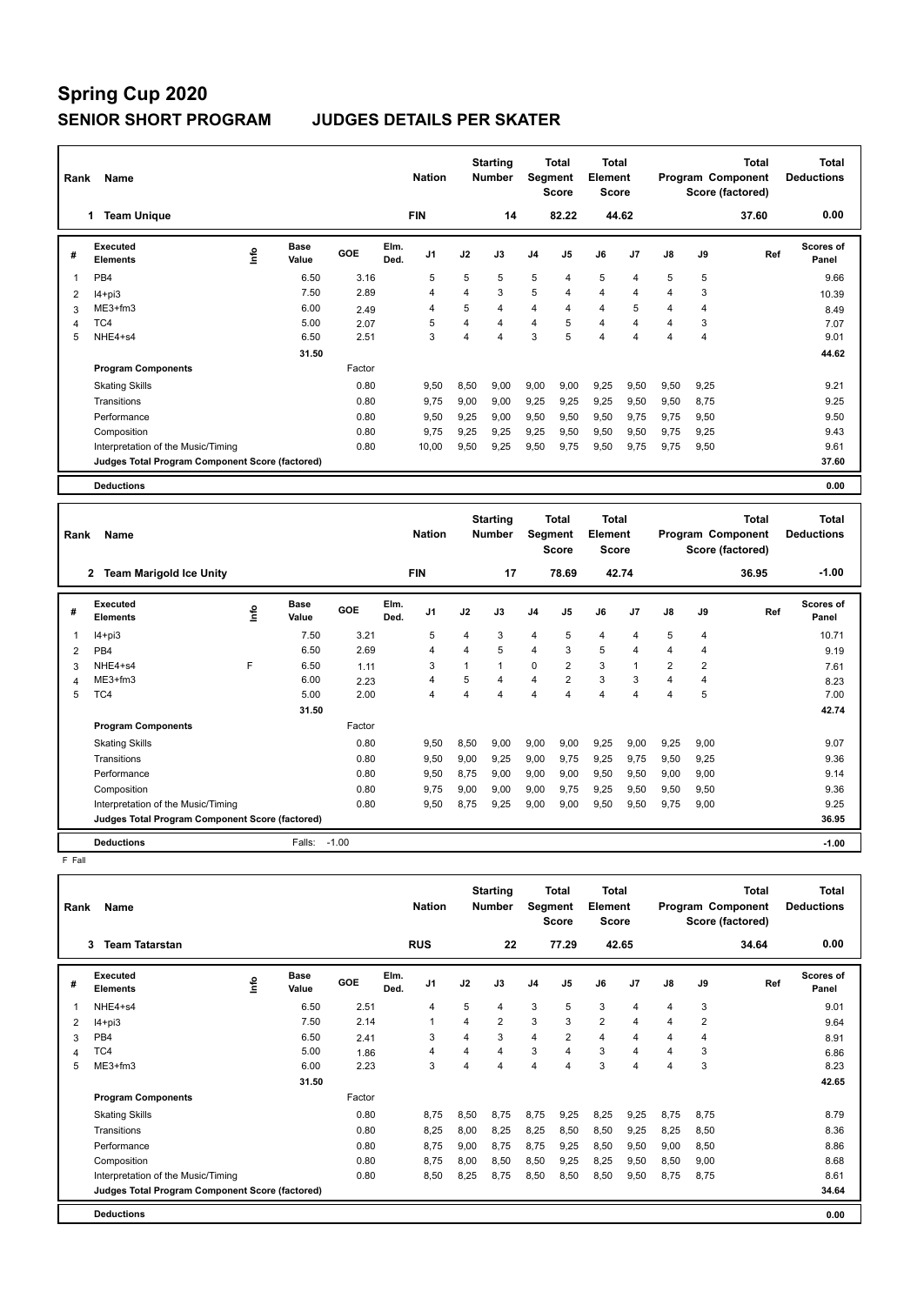| Rank | Name                                            |                              |        | <b>Nation</b>                  |      | <b>Starting</b><br><b>Number</b> |                | <b>Total</b><br>Segment<br><b>Score</b>        | <b>Total</b><br>Element<br><b>Score</b> |       |      |                | <b>Total</b><br><b>Program Component</b><br>Score (factored) | <b>Total</b><br><b>Deductions</b> |
|------|-------------------------------------------------|------------------------------|--------|--------------------------------|------|----------------------------------|----------------|------------------------------------------------|-----------------------------------------|-------|------|----------------|--------------------------------------------------------------|-----------------------------------|
|      | <b>Team Unique</b><br>1.                        |                              |        | <b>FIN</b>                     |      | 14                               |                | 82.22                                          |                                         | 44.62 |      |                | 37.60                                                        | 0.00                              |
| #    | <b>Executed</b><br><b>Elements</b>              | <b>Base</b><br>١nfo<br>Value | GOE    | Elm.<br>J <sub>1</sub><br>Ded. | J2   | J3                               | J <sub>4</sub> | J <sub>5</sub>                                 | J6                                      | J7    | J8   | J9             | Ref                                                          | Scores of<br>Panel                |
| 1    | PB <sub>4</sub>                                 | 6.50                         | 3.16   | 5                              | 5    | 5                                | 5              | 4                                              | 5                                       | 4     | 5    | 5              |                                                              | 9.66                              |
| 2    | $I4 + pi3$                                      | 7.50                         | 2.89   | 4                              | 4    | 3                                | 5              | 4                                              | 4                                       | 4     | 4    | 3              |                                                              | 10.39                             |
| 3    | ME3+fm3                                         | 6.00                         | 2.49   | 4                              | 5    | 4                                | $\overline{4}$ | 4                                              | $\overline{4}$                          | 5     | 4    | $\overline{4}$ |                                                              | 8.49                              |
| 4    | TC4                                             | 5.00                         | 2.07   | 5                              | 4    | 4                                | $\overline{4}$ | 5                                              | $\overline{4}$                          | 4     | 4    | 3              |                                                              | 7.07                              |
| 5    | NHE4+s4                                         | 6.50                         | 2.51   | 3                              | 4    | $\overline{4}$                   | 3              | 5                                              | $\overline{4}$                          | 4     | 4    | $\overline{4}$ |                                                              | 9.01                              |
|      |                                                 | 31.50                        |        |                                |      |                                  |                |                                                |                                         |       |      |                |                                                              | 44.62                             |
|      | <b>Program Components</b>                       |                              | Factor |                                |      |                                  |                |                                                |                                         |       |      |                |                                                              |                                   |
|      | <b>Skating Skills</b>                           |                              | 0.80   | 9,50                           | 8,50 | 9,00                             | 9,00           | 9,00                                           | 9,25                                    | 9,50  | 9,50 | 9,25           |                                                              | 9.21                              |
|      | Transitions                                     |                              | 0.80   | 9,75                           | 9.00 | 9,00                             | 9,25           | 9,25                                           | 9,25                                    | 9,50  | 9,50 | 8,75           |                                                              | 9.25                              |
|      | Performance                                     |                              | 0.80   | 9,50                           | 9.25 | 9,00                             | 9,50           | 9,50                                           | 9,50                                    | 9,75  | 9.75 | 9,50           |                                                              | 9.50                              |
|      | Composition                                     |                              | 0.80   | 9,75                           | 9,25 | 9,25                             | 9,25           | 9,50                                           | 9,50                                    | 9,50  | 9.75 | 9,25           |                                                              | 9.43                              |
|      | Interpretation of the Music/Timing              |                              | 0.80   | 10,00                          | 9,50 | 9,25                             | 9,50           | 9,75                                           | 9,50                                    | 9,75  | 9.75 | 9,50           |                                                              | 9.61                              |
|      | Judges Total Program Component Score (factored) |                              |        |                                |      |                                  |                |                                                |                                         |       |      |                |                                                              | 37.60                             |
|      | <b>Deductions</b>                               |                              |        |                                |      |                                  |                |                                                |                                         |       |      |                |                                                              | 0.00                              |
|      |                                                 |                              |        |                                |      |                                  |                |                                                |                                         |       |      |                |                                                              |                                   |
| Rank | Name                                            |                              |        | <b>Nation</b>                  |      | <b>Starting</b><br><b>Number</b> |                | <b>Total</b><br><b>Segment</b><br><b>Score</b> | Total<br>Element<br><b>Score</b>        |       |      |                | <b>Total</b><br>Program Component<br>Score (factored)        | Total<br><b>Deductions</b>        |

|   |                                                 |   |                      |            |              |                |      |                |                | ocore          | score |       |                |                | Score (ractoreg) |                           |  |
|---|-------------------------------------------------|---|----------------------|------------|--------------|----------------|------|----------------|----------------|----------------|-------|-------|----------------|----------------|------------------|---------------------------|--|
|   | 2 Team Marigold Ice Unity                       |   |                      |            |              | <b>FIN</b>     |      | 17             |                | 78.69          |       | 42.74 |                |                | 36.95            | $-1.00$                   |  |
| # | Executed<br><b>Elements</b>                     | ۴ | <b>Base</b><br>Value | <b>GOE</b> | Elm.<br>Ded. | J <sub>1</sub> | J2   | J3             | J <sub>4</sub> | J5             | J6    | J7    | $\mathsf{J}8$  | J9             | Ref              | <b>Scores of</b><br>Panel |  |
|   | $I4 + pi3$                                      |   | 7.50                 | 3.21       |              | 5              | 4    | 3              | $\overline{4}$ | 5              | 4     | 4     | 5              | $\overline{4}$ |                  | 10.71                     |  |
| 2 | PB <sub>4</sub>                                 |   | 6.50                 | 2.69       |              | 4              | 4    | 5              | 4              | 3              | 5     | 4     | 4              | 4              |                  | 9.19                      |  |
| 3 | NHE4+s4                                         | F | 6.50                 | 1.11       |              | 3              |      |                | $\mathbf 0$    | $\overline{2}$ | 3     |       | $\overline{2}$ | $\overline{2}$ |                  | 7.61                      |  |
| 4 | $ME3+fm3$                                       |   | 6.00                 | 2.23       |              | 4              | 5    | 4              | 4              | $\overline{2}$ | 3     | 3     | 4              | 4              |                  | 8.23                      |  |
| 5 | TC4                                             |   | 5.00                 | 2.00       |              | $\overline{4}$ | 4    | $\overline{4}$ | 4              | 4              | 4     | 4     | 4              | 5              |                  | 7.00                      |  |
|   |                                                 |   | 31.50                |            |              |                |      |                |                |                |       |       |                |                |                  | 42.74                     |  |
|   | <b>Program Components</b>                       |   |                      | Factor     |              |                |      |                |                |                |       |       |                |                |                  |                           |  |
|   | <b>Skating Skills</b>                           |   |                      | 0.80       |              | 9,50           | 8,50 | 9,00           | 9,00           | 9,00           | 9,25  | 9,00  | 9,25           | 9,00           |                  | 9.07                      |  |
|   | Transitions                                     |   |                      | 0.80       |              | 9,50           | 9,00 | 9,25           | 9,00           | 9,75           | 9,25  | 9,75  | 9,50           | 9,25           |                  | 9.36                      |  |
|   | Performance                                     |   |                      | 0.80       |              | 9,50           | 8,75 | 9,00           | 9,00           | 9,00           | 9,50  | 9,50  | 9,00           | 9,00           |                  | 9.14                      |  |
|   | Composition                                     |   |                      | 0.80       |              | 9,75           | 9,00 | 9,00           | 9,00           | 9,75           | 9,25  | 9,50  | 9,50           | 9,50           |                  | 9.36                      |  |
|   | Interpretation of the Music/Timing              |   |                      | 0.80       |              | 9,50           | 8,75 | 9,25           | 9,00           | 9,00           | 9,50  | 9,50  | 9,75           | 9,00           |                  | 9.25                      |  |
|   | Judges Total Program Component Score (factored) |   |                      |            |              |                |      |                |                |                |       |       |                |                |                  | 36.95                     |  |
|   | <b>Deductions</b>                               |   | Falls:               | $-1.00$    |              |                |      |                |                |                |       |       |                |                |                  | $-1.00$                   |  |

F Fall

| Rank | Name                                            |   |                      |        |              | <b>Nation</b>  |                | <b>Starting</b><br><b>Number</b> | Segment        | Total<br><b>Score</b> | <b>Total</b><br>Element<br><b>Score</b> |       |                |                | Total<br>Program Component<br>Score (factored) | <b>Total</b><br><b>Deductions</b> |
|------|-------------------------------------------------|---|----------------------|--------|--------------|----------------|----------------|----------------------------------|----------------|-----------------------|-----------------------------------------|-------|----------------|----------------|------------------------------------------------|-----------------------------------|
|      | 3<br><b>Team Tatarstan</b>                      |   |                      |        |              | <b>RUS</b>     |                | 22                               |                | 77.29                 |                                         | 42.65 |                |                | 34.64                                          | 0.00                              |
| #    | <b>Executed</b><br><b>Elements</b>              | ۴ | <b>Base</b><br>Value | GOE    | Elm.<br>Ded. | J <sub>1</sub> | J2             | J3                               | J <sub>4</sub> | J <sub>5</sub>        | J6                                      | J7    | J8             | J9             | Ref                                            | <b>Scores of</b><br>Panel         |
| 1    | NHE4+s4                                         |   | 6.50                 | 2.51   |              | $\overline{4}$ | 5              | 4                                | 3              | 5                     | 3                                       | 4     | 4              | 3              |                                                | 9.01                              |
| 2    | $I4 + pi3$                                      |   | 7.50                 | 2.14   |              | $\overline{1}$ | $\overline{4}$ | $\overline{2}$                   | 3              | 3                     | $\overline{2}$                          | 4     | 4              | $\overline{2}$ |                                                | 9.64                              |
| 3    | PB4                                             |   | 6.50                 | 2.41   |              | 3              | 4              | 3                                | $\overline{4}$ | $\overline{2}$        | $\overline{4}$                          | 4     | 4              | 4              |                                                | 8.91                              |
| 4    | TC4                                             |   | 5.00                 | 1.86   |              | $\overline{4}$ | 4              | 4                                | 3              | 4                     | 3                                       | 4     | $\overline{4}$ | 3              |                                                | 6.86                              |
| 5    | $ME3+fm3$                                       |   | 6.00                 | 2.23   |              | 3              | 4              | 4                                | $\overline{4}$ | $\overline{4}$        | 3                                       | 4     | $\overline{4}$ | 3              |                                                | 8.23                              |
|      |                                                 |   | 31.50                |        |              |                |                |                                  |                |                       |                                         |       |                |                |                                                | 42.65                             |
|      | <b>Program Components</b>                       |   |                      | Factor |              |                |                |                                  |                |                       |                                         |       |                |                |                                                |                                   |
|      | <b>Skating Skills</b>                           |   |                      | 0.80   |              | 8.75           | 8.50           | 8.75                             | 8.75           | 9,25                  | 8,25                                    | 9,25  | 8.75           | 8.75           |                                                | 8.79                              |
|      | Transitions                                     |   |                      | 0.80   |              | 8.25           | 8,00           | 8.25                             | 8,25           | 8,50                  | 8,50                                    | 9,25  | 8.25           | 8.50           |                                                | 8.36                              |
|      | Performance                                     |   |                      | 0.80   |              | 8.75           | 9,00           | 8.75                             | 8,75           | 9,25                  | 8,50                                    | 9,50  | 9,00           | 8,50           |                                                | 8.86                              |
|      | Composition                                     |   |                      | 0.80   |              | 8.75           | 8,00           | 8,50                             | 8,50           | 9,25                  | 8,25                                    | 9,50  | 8.50           | 9.00           |                                                | 8.68                              |
|      | Interpretation of the Music/Timing              |   |                      | 0.80   |              | 8.50           | 8.25           | 8.75                             | 8,50           | 8.50                  | 8,50                                    | 9,50  | 8.75           | 8.75           |                                                | 8.61                              |
|      | Judges Total Program Component Score (factored) |   |                      |        |              |                |                |                                  |                |                       |                                         |       |                |                |                                                | 34.64                             |
|      | <b>Deductions</b>                               |   |                      |        |              |                |                |                                  |                |                       |                                         |       |                |                |                                                | 0.00                              |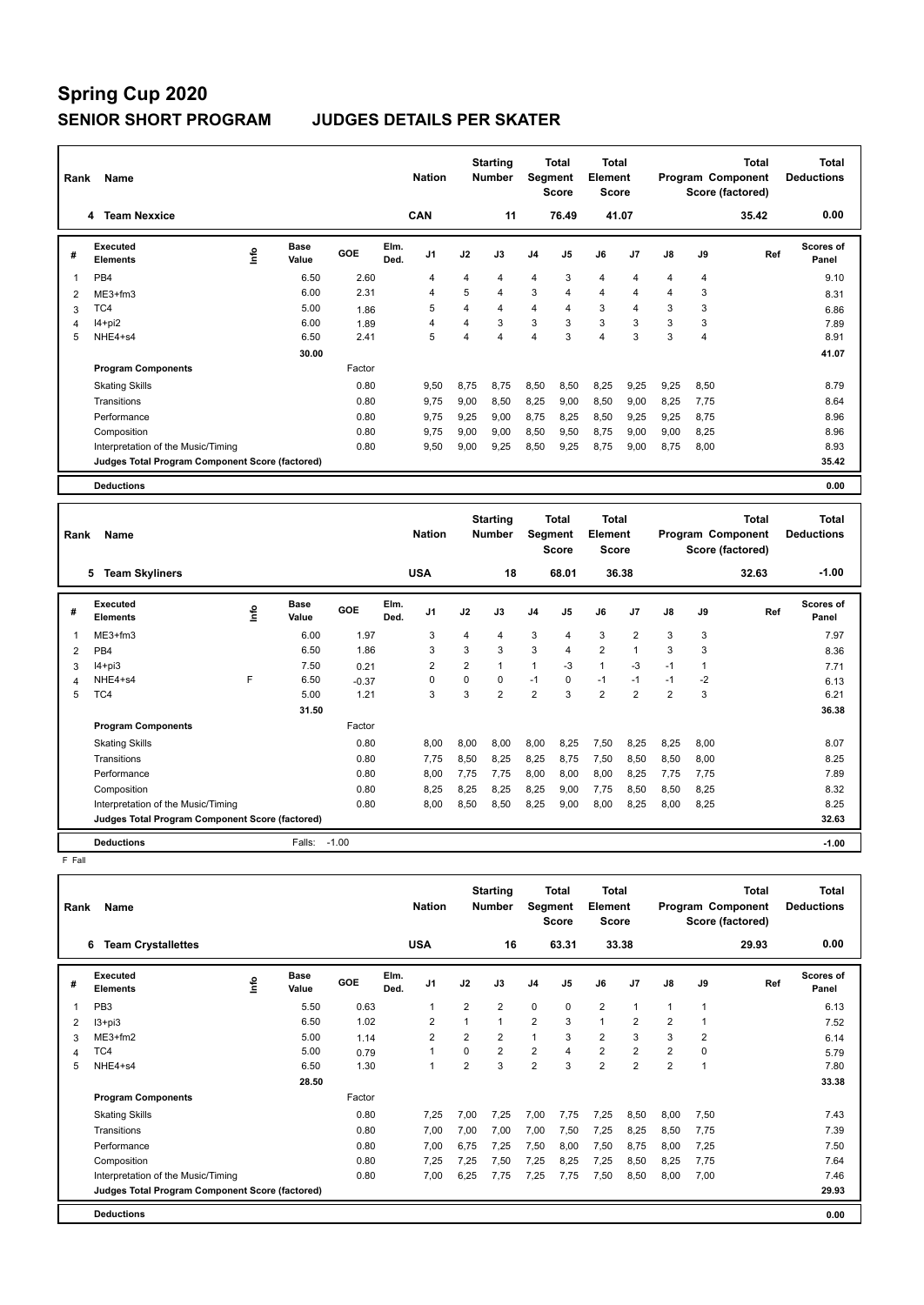| Rank | Name                                            |      |                      |        |              | <b>Nation</b>     |      | <b>Starting</b><br><b>Number</b>  | Segment        | <b>Total</b><br><b>Score</b> | <b>Total</b><br>Element<br><b>Score</b> |       |                 |                | <b>Total</b><br>Program Component<br>Score (factored) | <b>Total</b><br><b>Deductions</b> |
|------|-------------------------------------------------|------|----------------------|--------|--------------|-------------------|------|-----------------------------------|----------------|------------------------------|-----------------------------------------|-------|-----------------|----------------|-------------------------------------------------------|-----------------------------------|
|      | <b>Team Nexxice</b><br>4                        |      |                      |        |              | CAN               |      | 11                                |                | 76.49                        |                                         | 41.07 |                 |                | 35.42                                                 | 0.00                              |
| #    | Executed<br><b>Elements</b>                     | ١nfo | <b>Base</b><br>Value | GOE    | Elm.<br>Ded. | J <sub>1</sub>    | J2   | J3                                | J <sub>4</sub> | J5                           | J6                                      | J7    | J8              | J9             | Ref                                                   | Scores of<br>Panel                |
| 1    | PB <sub>4</sub>                                 |      | 6.50                 | 2.60   |              | 4                 | 4    | $\overline{4}$                    | $\overline{4}$ | 3                            | $\overline{4}$                          | 4     | 4               | $\overline{4}$ |                                                       | 9.10                              |
| 2    | $ME3+fm3$                                       |      | 6.00                 | 2.31   |              | 4                 | 5    | $\overline{4}$                    | 3              | 4                            | $\overline{4}$                          | 4     | 4               | 3              |                                                       | 8.31                              |
| 3    | TC4                                             |      | 5.00                 | 1.86   |              | 5                 | 4    | $\overline{4}$                    | $\overline{4}$ | 4                            | 3                                       | 4     | 3               | 3              |                                                       | 6.86                              |
| 4    | $I4+pi2$                                        |      | 6.00                 | 1.89   |              | 4                 | 4    | 3                                 | 3              | 3                            | 3                                       | 3     | 3               | 3              |                                                       | 7.89                              |
| 5    | NHE4+s4                                         |      | 6.50                 | 2.41   |              | 5                 | 4    | $\overline{4}$                    | $\overline{4}$ | 3                            | $\overline{4}$                          | 3     | 3               | $\overline{4}$ |                                                       | 8.91                              |
|      |                                                 |      | 30.00                |        |              |                   |      |                                   |                |                              |                                         |       |                 |                |                                                       | 41.07                             |
|      | <b>Program Components</b>                       |      |                      | Factor |              |                   |      |                                   |                |                              |                                         |       |                 |                |                                                       |                                   |
|      | <b>Skating Skills</b>                           |      |                      | 0.80   |              | 9,50              | 8,75 | 8,75                              | 8,50           | 8,50                         | 8,25                                    | 9,25  | 9,25            | 8,50           |                                                       | 8.79                              |
|      | Transitions                                     |      |                      | 0.80   |              | 9,75              | 9,00 | 8,50                              | 8,25           | 9,00                         | 8,50                                    | 9,00  | 8,25            | 7,75           |                                                       | 8.64                              |
|      | Performance                                     |      |                      | 0.80   |              | 9,75              | 9,25 | 9,00                              | 8,75           | 8,25                         | 8,50                                    | 9,25  | 9,25            | 8,75           |                                                       | 8.96                              |
|      | Composition                                     |      |                      | 0.80   |              | 9,75              | 9,00 | 9,00                              | 8,50           | 9,50                         | 8,75                                    | 9,00  | 9,00            | 8,25           |                                                       | 8.96                              |
|      | Interpretation of the Music/Timing              |      |                      | 0.80   |              | 9,50              | 9,00 | 9,25                              | 8,50           | 9,25                         | 8,75                                    | 9,00  | 8,75            | 8,00           |                                                       | 8.93                              |
|      | Judges Total Program Component Score (factored) |      |                      |        |              |                   |      |                                   |                |                              |                                         |       |                 |                |                                                       | 35.42                             |
|      | <b>Deductions</b>                               |      |                      |        |              |                   |      |                                   |                |                              |                                         |       |                 |                |                                                       | 0.00                              |
|      |                                                 |      |                      |        |              |                   |      |                                   |                |                              |                                         |       |                 |                |                                                       |                                   |
|      | <b>Provident Control</b>                        |      |                      |        |              | $1.1 - 1.2 - 1.2$ |      | <b>Starting</b><br>March 2010 Co. |                | <b>Total</b>                 | <b>Total</b><br><b>Electrician</b>      |       | <b>Donation</b> | $\sim$         | <b>Total</b>                                          | <b>Total</b><br>$Example 2$       |

| Rank | Name                                            |      |                      |            |              | <b>Nation</b>  |                | <b>Number</b>  |                | Segment<br><b>Score</b> | Element<br><b>Score</b> |                |                |      | Program Component<br>Score (factored) | <b>Deductions</b>         |  |
|------|-------------------------------------------------|------|----------------------|------------|--------------|----------------|----------------|----------------|----------------|-------------------------|-------------------------|----------------|----------------|------|---------------------------------------|---------------------------|--|
|      | <b>Team Skyliners</b><br>5                      |      |                      |            |              | <b>USA</b>     |                | 18             |                | 68.01                   |                         | 36.38          |                |      | 32.63                                 | $-1.00$                   |  |
| #    | <b>Executed</b><br><b>Elements</b>              | ١nf٥ | <b>Base</b><br>Value | <b>GOE</b> | Elm.<br>Ded. | J <sub>1</sub> | J2             | J3             | J <sub>4</sub> | J <sub>5</sub>          | J6                      | J7             | J8             | J9   | Ref                                   | <b>Scores of</b><br>Panel |  |
|      | $ME3+fm3$                                       |      | 6.00                 | 1.97       |              | 3              | 4              | 4              | 3              | 4                       | 3                       | $\overline{2}$ | 3              | 3    |                                       | 7.97                      |  |
| 2    | PB4                                             |      | 6.50                 | 1.86       |              | 3              | 3              | 3              | 3              | 4                       | $\overline{2}$          | $\overline{A}$ | 3              | 3    |                                       | 8.36                      |  |
| 3    | $I4 + pi3$                                      |      | 7.50                 | 0.21       |              | 2              | $\overline{2}$ | 1              | 1              | $-3$                    | $\overline{1}$          | $-3$           | $-1$           | 1    |                                       | 7.71                      |  |
| 4    | NHE4+s4                                         | F    | 6.50                 | $-0.37$    |              | 0              | 0              | 0              | $-1$           | 0                       | $-1$                    | $-1$           | $-1$           | $-2$ |                                       | 6.13                      |  |
| 5    | TC4                                             |      | 5.00                 | 1.21       |              | 3              | 3              | $\overline{2}$ | $\overline{2}$ | 3                       | $\overline{2}$          | $\overline{2}$ | $\overline{2}$ | 3    |                                       | 6.21                      |  |
|      |                                                 |      | 31.50                |            |              |                |                |                |                |                         |                         |                |                |      |                                       | 36.38                     |  |
|      | <b>Program Components</b>                       |      |                      | Factor     |              |                |                |                |                |                         |                         |                |                |      |                                       |                           |  |
|      | <b>Skating Skills</b>                           |      |                      | 0.80       |              | 8,00           | 8,00           | 8,00           | 8,00           | 8,25                    | 7,50                    | 8,25           | 8,25           | 8,00 |                                       | 8.07                      |  |
|      | Transitions                                     |      |                      | 0.80       |              | 7,75           | 8,50           | 8,25           | 8,25           | 8,75                    | 7,50                    | 8,50           | 8,50           | 8,00 |                                       | 8.25                      |  |
|      | Performance                                     |      |                      | 0.80       |              | 8,00           | 7,75           | 7,75           | 8,00           | 8,00                    | 8,00                    | 8,25           | 7,75           | 7,75 |                                       | 7.89                      |  |
|      | Composition                                     |      |                      | 0.80       |              | 8,25           | 8,25           | 8,25           | 8,25           | 9,00                    | 7,75                    | 8,50           | 8,50           | 8,25 |                                       | 8.32                      |  |
|      | Interpretation of the Music/Timing              |      |                      | 0.80       |              | 8,00           | 8,50           | 8,50           | 8,25           | 9,00                    | 8,00                    | 8,25           | 8,00           | 8,25 |                                       | 8.25                      |  |
|      | Judges Total Program Component Score (factored) |      |                      |            |              |                |                |                |                |                         |                         |                |                |      |                                       | 32.63                     |  |
|      | <b>Deductions</b>                               |      | Falls:               | $-1.00$    |              |                |                |                |                |                         |                         |                |                |      |                                       | $-1.00$                   |  |

F Fall

| Rank | Name                                            |   |                      |        |              | <b>Nation</b>  |                | <b>Starting</b><br><b>Number</b> | Segment        | Total<br><b>Score</b> | <b>Total</b><br>Element<br><b>Score</b> |                |                |                | <b>Total</b><br>Program Component<br>Score (factored) | <b>Total</b><br><b>Deductions</b> |
|------|-------------------------------------------------|---|----------------------|--------|--------------|----------------|----------------|----------------------------------|----------------|-----------------------|-----------------------------------------|----------------|----------------|----------------|-------------------------------------------------------|-----------------------------------|
|      | <b>Team Crystallettes</b><br>6                  |   |                      |        |              | <b>USA</b>     |                | 16                               |                | 63.31                 |                                         | 33.38          |                |                | 29.93                                                 | 0.00                              |
| #    | <b>Executed</b><br><b>Elements</b>              | ۴ | <b>Base</b><br>Value | GOE    | Elm.<br>Ded. | J <sub>1</sub> | J2             | J3                               | J <sub>4</sub> | J <sub>5</sub>        | J6                                      | J7             | J8             | J9             | Ref                                                   | <b>Scores of</b><br>Panel         |
| 1    | PB <sub>3</sub>                                 |   | 5.50                 | 0.63   |              | 1              | 2              | 2                                | $\mathbf 0$    | 0                     | $\overline{2}$                          | $\overline{1}$ |                | $\mathbf{1}$   |                                                       | 6.13                              |
| 2    | $13 + pi3$                                      |   | 6.50                 | 1.02   |              | $\overline{2}$ |                | 1                                | $\overline{2}$ | 3                     | $\mathbf{1}$                            | $\overline{2}$ | $\overline{2}$ | 1              |                                                       | 7.52                              |
| 3    | ME3+fm2                                         |   | 5.00                 | 1.14   |              | $\overline{2}$ | $\overline{2}$ | $\overline{2}$                   | $\overline{1}$ | 3                     | $\overline{2}$                          | 3              | 3              | $\overline{2}$ |                                                       | 6.14                              |
| 4    | TC4                                             |   | 5.00                 | 0.79   |              | $\mathbf{1}$   | $\Omega$       | $\overline{2}$                   | $\overline{2}$ | 4                     | $\overline{2}$                          | $\overline{2}$ | $\overline{2}$ | 0              |                                                       | 5.79                              |
| 5    | NHE4+s4                                         |   | 6.50                 | 1.30   |              | $\mathbf{1}$   | $\overline{2}$ | 3                                | $\overline{2}$ | 3                     | $\overline{2}$                          | $\overline{2}$ | $\overline{2}$ | 1              |                                                       | 7.80                              |
|      |                                                 |   | 28.50                |        |              |                |                |                                  |                |                       |                                         |                |                |                |                                                       | 33.38                             |
|      | <b>Program Components</b>                       |   |                      | Factor |              |                |                |                                  |                |                       |                                         |                |                |                |                                                       |                                   |
|      | <b>Skating Skills</b>                           |   |                      | 0.80   |              | 7.25           | 7,00           | 7.25                             | 7,00           | 7.75                  | 7,25                                    | 8,50           | 8,00           | 7.50           |                                                       | 7.43                              |
|      | Transitions                                     |   |                      | 0.80   |              | 7,00           | 7,00           | 7,00                             | 7,00           | 7,50                  | 7,25                                    | 8,25           | 8,50           | 7.75           |                                                       | 7.39                              |
|      | Performance                                     |   |                      | 0.80   |              | 7,00           | 6,75           | 7,25                             | 7,50           | 8,00                  | 7,50                                    | 8,75           | 8,00           | 7,25           |                                                       | 7.50                              |
|      | Composition                                     |   |                      | 0.80   |              | 7.25           | 7,25           | 7,50                             | 7,25           | 8,25                  | 7,25                                    | 8,50           | 8.25           | 7.75           |                                                       | 7.64                              |
|      | Interpretation of the Music/Timing              |   |                      | 0.80   |              | 7.00           | 6.25           | 7.75                             | 7,25           | 7.75                  | 7,50                                    | 8,50           | 8.00           | 7,00           |                                                       | 7.46                              |
|      | Judges Total Program Component Score (factored) |   |                      |        |              |                |                |                                  |                |                       |                                         |                |                |                |                                                       | 29.93                             |
|      | <b>Deductions</b>                               |   |                      |        |              |                |                |                                  |                |                       |                                         |                |                |                |                                                       | 0.00                              |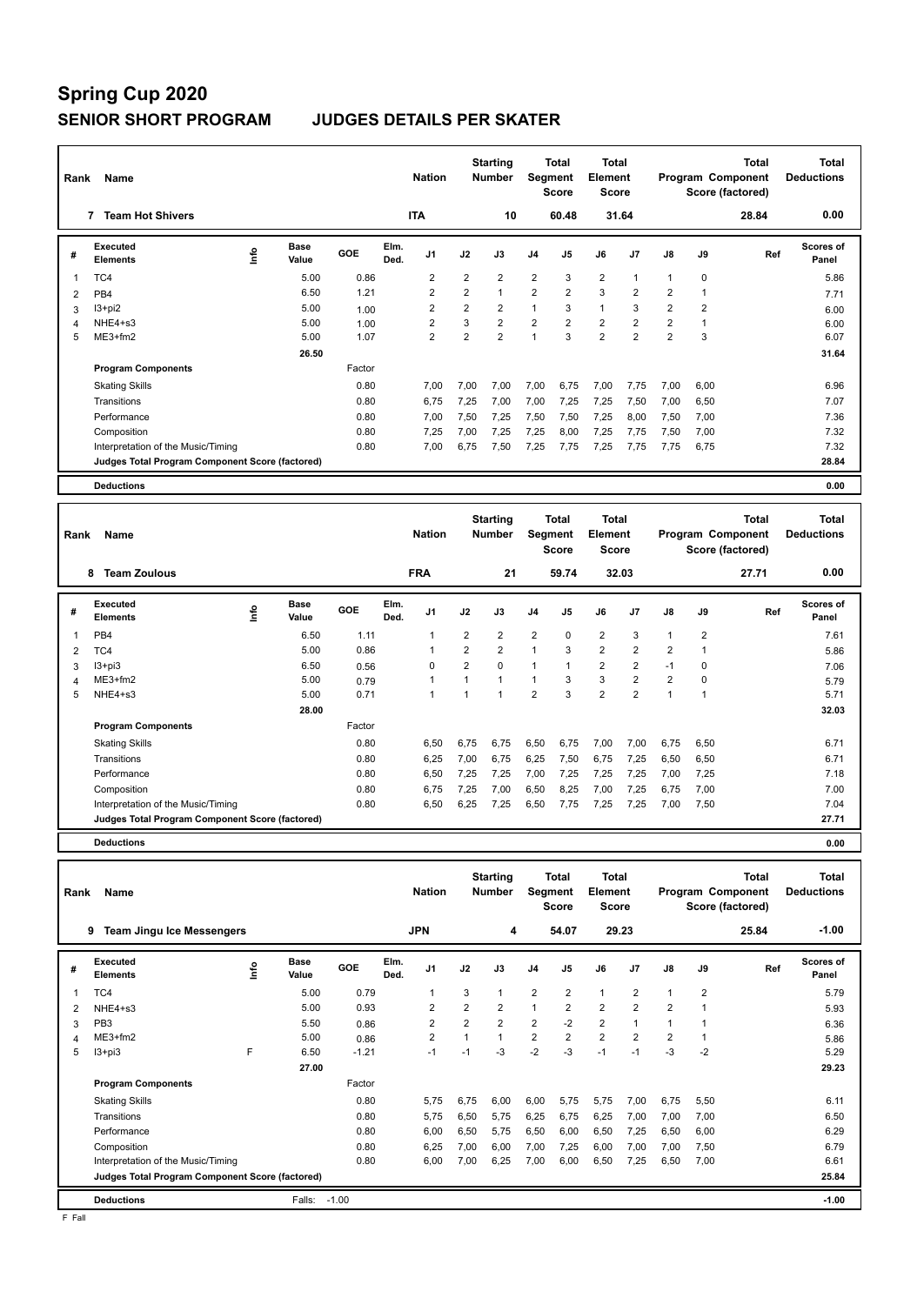# **Spring Cup 2020**

### **SENIOR SHORT PROGRAM JUDGES DETAILS PER SKATER**

| Rank | Name                                            |                           |        | <b>Nation</b>                  |                | <b>Starting</b><br><b>Number</b> |                | <b>Total</b><br>Segment<br><b>Score</b> | Total<br>Element<br><b>Score</b>        |                |                | Program Component<br>Score (factored) | <b>Total</b> | <b>Total</b><br><b>Deductions</b> |
|------|-------------------------------------------------|---------------------------|--------|--------------------------------|----------------|----------------------------------|----------------|-----------------------------------------|-----------------------------------------|----------------|----------------|---------------------------------------|--------------|-----------------------------------|
|      | <b>Team Hot Shivers</b><br>$\overline{7}$       |                           |        | <b>ITA</b>                     |                | 10                               |                | 60.48                                   |                                         | 31.64          |                |                                       | 28.84        | 0.00                              |
| #    | Executed<br><b>Elements</b>                     | <b>Base</b><br>۴<br>Value | GOE    | Elm.<br>J <sub>1</sub><br>Ded. | J2             | J3                               | J <sub>4</sub> | J <sub>5</sub>                          | J6                                      | J7             | J8             | J9                                    | Ref          | <b>Scores of</b><br>Panel         |
| 1    | TC4                                             | 5.00                      | 0.86   | 2                              | $\overline{2}$ | $\overline{2}$                   | $\overline{2}$ | 3                                       | $\overline{2}$                          | 1              | 1              | 0                                     |              | 5.86                              |
| 2    | PB <sub>4</sub>                                 | 6.50                      | 1.21   | $\overline{2}$                 | $\overline{2}$ | $\mathbf{1}$                     | $\overline{2}$ | $\overline{2}$                          | 3                                       | $\overline{2}$ | 2              | $\mathbf{1}$                          |              | 7.71                              |
| 3    | I3+pi2                                          | 5.00                      | 1.00   | $\overline{2}$                 | $\overline{2}$ | $\overline{2}$                   | $\mathbf{1}$   | 3                                       | $\mathbf{1}$                            | 3              | $\overline{2}$ | $\overline{2}$                        |              | 6.00                              |
| 4    | NHE4+s3                                         | 5.00                      | 1.00   | $\overline{2}$                 | 3              | $\overline{2}$                   | $\overline{2}$ | $\overline{2}$                          | $\overline{2}$                          | 2              | $\overline{2}$ | $\mathbf{1}$                          |              | 6.00                              |
| 5    | $ME3+fm2$                                       | 5.00                      | 1.07   | $\overline{2}$                 | $\overline{2}$ | $\overline{2}$                   | 1              | 3                                       | $\overline{2}$                          | $\overline{2}$ | $\overline{2}$ | 3                                     |              | 6.07                              |
|      |                                                 | 26.50                     |        |                                |                |                                  |                |                                         |                                         |                |                |                                       |              | 31.64                             |
|      | <b>Program Components</b>                       |                           | Factor |                                |                |                                  |                |                                         |                                         |                |                |                                       |              |                                   |
|      | <b>Skating Skills</b>                           |                           | 0.80   | 7,00                           | 7,00           | 7,00                             | 7,00           | 6,75                                    | 7,00                                    | 7,75           | 7,00           | 6,00                                  |              | 6.96                              |
|      | Transitions                                     |                           | 0.80   | 6,75                           | 7,25           | 7,00                             | 7,00           | 7,25                                    | 7,25                                    | 7,50           | 7,00           | 6,50                                  |              | 7.07                              |
|      | Performance                                     |                           | 0.80   | 7,00                           | 7,50           | 7,25                             | 7,50           | 7,50                                    | 7,25                                    | 8,00           | 7,50           | 7,00                                  |              | 7.36                              |
|      | Composition                                     |                           | 0.80   | 7,25                           | 7,00           | 7,25                             | 7,25           | 8,00                                    | 7,25                                    | 7,75           | 7,50           | 7,00                                  |              | 7.32                              |
|      | Interpretation of the Music/Timing              |                           | 0.80   | 7,00                           | 6,75           | 7,50                             | 7,25           | 7,75                                    | 7,25                                    | 7,75           | 7,75           | 6,75                                  |              | 7.32                              |
|      | Judges Total Program Component Score (factored) |                           |        |                                |                |                                  |                |                                         |                                         |                |                |                                       |              | 28.84                             |
|      | <b>Deductions</b>                               |                           |        |                                |                |                                  |                |                                         |                                         |                |                |                                       |              | 0.00                              |
| Rank | Name                                            |                           |        | <b>Nation</b>                  |                | <b>Starting</b><br><b>Number</b> |                | <b>Total</b><br>Segment<br><b>Score</b> | <b>Total</b><br>Element<br><b>Score</b> |                |                | Program Component<br>Score (factored) | <b>Total</b> | <b>Total</b><br><b>Deductions</b> |
|      | <b>Team Zoulous</b><br>8                        |                           |        | <b>FRA</b>                     |                | 21                               |                | 59.74                                   |                                         | 32.03          |                |                                       | 27.71        | 0.00                              |
| #    | Executed<br><b>Elements</b>                     | Base<br>ę<br>Value        | GOE    | Elm.<br>J1<br>Ded.             | J2             | J3                               | J <sub>4</sub> | J <sub>5</sub>                          | J6                                      | J7             | J8             | J9                                    | Ref          | Scores of<br>Panel                |

**Value GOE J1 J2 J3 J4 J5 J6 J7 J8 J9** 

 **28.00 32.03**

0.80 6,50 6,75 6,75 6,50 6,75 7,00 7,00 6,75 6,50 6.71 6.71

 TC4 5.00 0.86 1 2 2 1 3 2 2 2 1 5.86 I3+pi3 6.50 0.56 0 2 0 1 1 2 2 -1 0 7.06 ME3+fm2 5.00 0.79 1 1 1 1 3 3 2 2 0 5.79 NHE4+s3 5.00 0.71 1 1 1 2 3 2 2 1 1 5.71

Transitions 0.80 6,25 7,00 6,75 6,25 7,50 6,75 7,25 6,50 6,50 6.71 Performance 0.80 6,50 7,25 7,25 7,00 7,25 7,25 7,25 7,00 7,25 7.18 Composition 0.80 6,75 7,25 7,00 6,50 8,25 7,00 7,25 6,75 7,00 7.00 Interpretation of the Music/Timing 0.80 6,50 6,25 7,25 6,50 7,75 7,25 7,25 7,00 7,50 7.04

**Judges Total Program Component Score (factored) 27.71**

**Panel**

7.61

**Deductions 0.00**

**Elements** 

**Program Components** 

PB4

**Value** 

1 6.50 1.11 1 2 2 2 0 2 3 1 2

Factor

Skating Skills 6,50 6,75 6,75 6,50 6,75 7,00 7,00 6,75 6,50

**Ded.** 

| Rank           | Name                                            |     |               |         |              | <b>Nation</b>  |                | <b>Starting</b><br><b>Number</b> | Segment        | Total<br><b>Score</b> | Total<br>Element<br><b>Score</b> |                |                |                | <b>Total</b><br>Program Component<br>Score (factored) | <b>Total</b><br><b>Deductions</b> |
|----------------|-------------------------------------------------|-----|---------------|---------|--------------|----------------|----------------|----------------------------------|----------------|-----------------------|----------------------------------|----------------|----------------|----------------|-------------------------------------------------------|-----------------------------------|
|                | 9<br><b>Team Jingu Ice Messengers</b>           |     |               |         |              | <b>JPN</b>     |                | 4                                |                | 54.07                 |                                  | 29.23          |                |                | 25.84                                                 | $-1.00$                           |
| #              | Executed<br><b>Elements</b>                     | ١m٥ | Base<br>Value | GOE     | Elm.<br>Ded. | J <sub>1</sub> | J2             | J3                               | J <sub>4</sub> | J <sub>5</sub>        | J6                               | J <sub>7</sub> | J8             | J9             | Ref                                                   | Scores of<br>Panel                |
|                | TC4                                             |     | 5.00          | 0.79    |              | 1              | 3              | 1                                | $\overline{2}$ | $\overline{2}$        | $\mathbf{1}$                     | $\overline{2}$ |                | $\overline{2}$ |                                                       | 5.79                              |
| $\overline{2}$ | $NHE4 + s3$                                     |     | 5.00          | 0.93    |              | $\overline{2}$ | $\overline{2}$ | $\overline{2}$                   | $\mathbf{1}$   | $\overline{2}$        | $\overline{2}$                   | $\overline{2}$ | $\overline{2}$ |                |                                                       | 5.93                              |
| 3              | PB <sub>3</sub>                                 |     | 5.50          | 0.86    |              | $\overline{2}$ | $\overline{2}$ | $\overline{2}$                   | $\overline{2}$ | $-2$                  | $\overline{2}$                   |                |                |                |                                                       | 6.36                              |
| 4              | $ME3+fm2$                                       |     | 5.00          | 0.86    |              | $\overline{2}$ | 1              | $\mathbf{1}$                     | $\overline{2}$ | $\overline{2}$        | $\overline{2}$                   | $\overline{2}$ | $\overline{2}$ |                |                                                       | 5.86                              |
| 5              | $13 + pi3$                                      | F   | 6.50          | $-1.21$ |              | $-1$           | $-1$           | $-3$                             | $-2$           | $-3$                  | $-1$                             | $-1$           | $-3$           | $-2$           |                                                       | 5.29                              |
|                |                                                 |     | 27.00         |         |              |                |                |                                  |                |                       |                                  |                |                |                |                                                       | 29.23                             |
|                | <b>Program Components</b>                       |     |               | Factor  |              |                |                |                                  |                |                       |                                  |                |                |                |                                                       |                                   |
|                | <b>Skating Skills</b>                           |     |               | 0.80    |              | 5.75           | 6.75           | 6,00                             | 6,00           | 5,75                  | 5,75                             | 7,00           | 6,75           | 5,50           |                                                       | 6.11                              |
|                | Transitions                                     |     |               | 0.80    |              | 5.75           | 6,50           | 5.75                             | 6,25           | 6,75                  | 6.25                             | 7,00           | 7.00           | 7,00           |                                                       | 6.50                              |
|                | Performance                                     |     |               | 0.80    |              | 6.00           | 6,50           | 5,75                             | 6,50           | 6,00                  | 6,50                             | 7,25           | 6,50           | 6,00           |                                                       | 6.29                              |
|                | Composition                                     |     |               | 0.80    |              | 6,25           | 7,00           | 6,00                             | 7,00           | 7,25                  | 6,00                             | 7,00           | 7,00           | 7,50           |                                                       | 6.79                              |
|                | Interpretation of the Music/Timing              |     |               | 0.80    |              | 6.00           | 7,00           | 6.25                             | 7,00           | 6,00                  | 6,50                             | 7,25           | 6.50           | 7.00           |                                                       | 6.61                              |
|                | Judges Total Program Component Score (factored) |     |               |         |              |                |                |                                  |                |                       |                                  |                |                |                |                                                       | 25.84                             |
|                | <b>Deductions</b>                               |     | Falls:        | $-1.00$ |              |                |                |                                  |                |                       |                                  |                |                |                |                                                       | $-1.00$                           |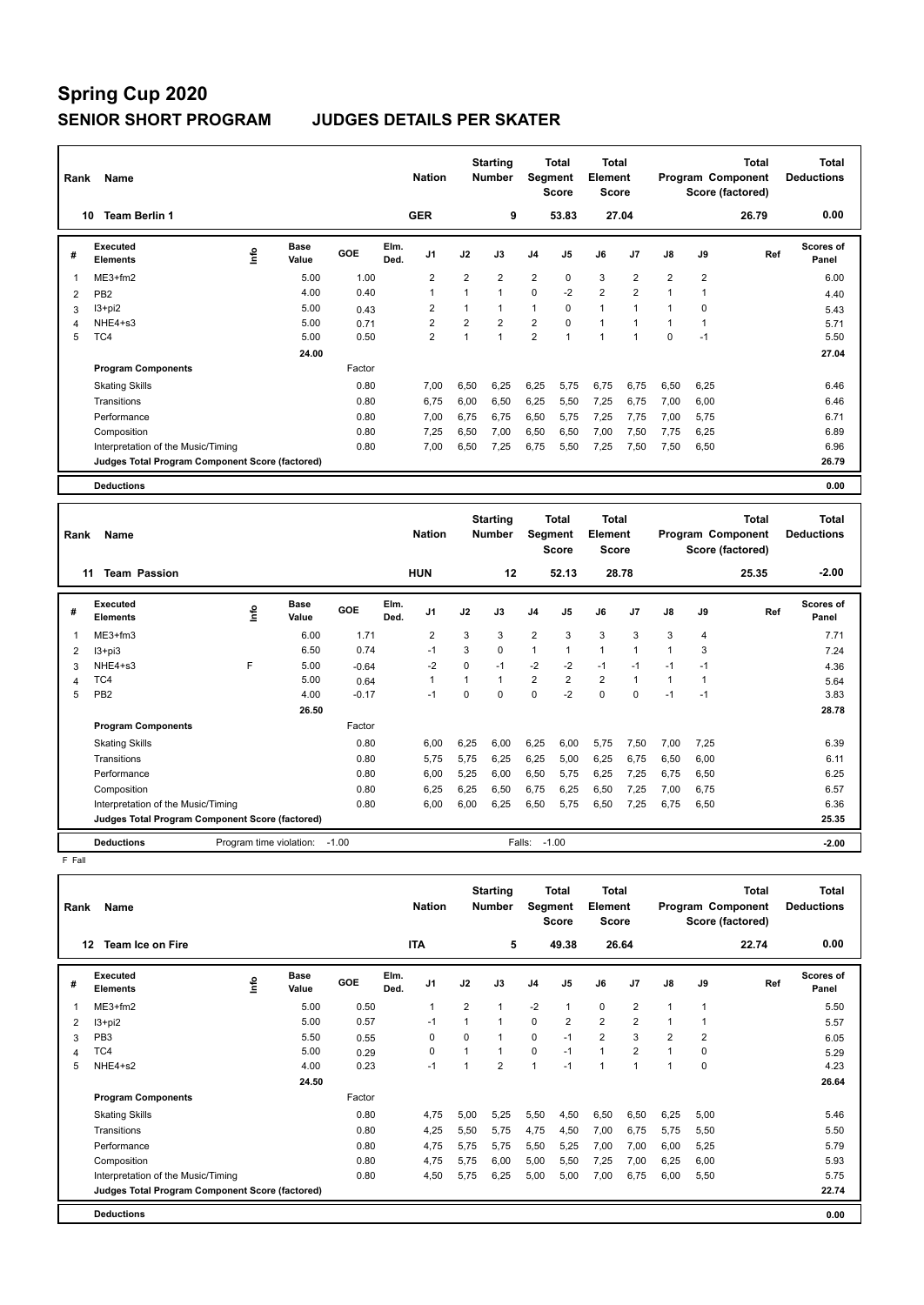| Rank | Name                                            |      |                      |        |              | <b>Nation</b>  |                | <b>Starting</b><br><b>Number</b> |                | <b>Total</b><br>Segment<br><b>Score</b> | Total<br>Element<br><b>Score</b> |                |                |                | <b>Total</b><br>Program Component<br>Score (factored) | <b>Total</b><br><b>Deductions</b> |
|------|-------------------------------------------------|------|----------------------|--------|--------------|----------------|----------------|----------------------------------|----------------|-----------------------------------------|----------------------------------|----------------|----------------|----------------|-------------------------------------------------------|-----------------------------------|
|      | <b>Team Berlin 1</b><br>10                      |      |                      |        |              | <b>GER</b>     |                | 9                                |                | 53.83                                   |                                  | 27.04          |                |                | 26.79                                                 | 0.00                              |
| #    | Executed<br><b>Elements</b>                     | lnfo | <b>Base</b><br>Value | GOE    | Elm.<br>Ded. | J <sub>1</sub> | J2             | J3                               | J <sub>4</sub> | J <sub>5</sub>                          | J6                               | J <sub>7</sub> | $\mathsf{J}8$  | J9             | Ref                                                   | <b>Scores of</b><br>Panel         |
| 1    | $ME3+fm2$                                       |      | 5.00                 | 1.00   |              | $\overline{2}$ | $\overline{2}$ | $\overline{2}$                   | $\overline{2}$ | 0                                       | 3                                | $\overline{2}$ | $\overline{2}$ | $\overline{2}$ |                                                       | 6.00                              |
| 2    | PB <sub>2</sub>                                 |      | 4.00                 | 0.40   |              | 1              | $\mathbf{1}$   | $\mathbf{1}$                     | $\Omega$       | $-2$                                    | $\overline{2}$                   | $\overline{2}$ | $\overline{1}$ | $\overline{1}$ |                                                       | 4.40                              |
| 3    | $13 + pi2$                                      |      | 5.00                 | 0.43   |              | 2              | 1              | $\mathbf{1}$                     | 1              | $\Omega$                                | $\mathbf{1}$                     |                |                | $\mathbf 0$    |                                                       | 5.43                              |
| 4    | NHE4+s3                                         |      | 5.00                 | 0.71   |              | $\overline{2}$ | $\overline{2}$ | $\overline{2}$                   | $\overline{2}$ | $\Omega$                                | $\mathbf{1}$                     | 1              | 1              | $\overline{1}$ |                                                       | 5.71                              |
| 5    | TC4                                             |      | 5.00                 | 0.50   |              | $\overline{2}$ | 1              | $\mathbf{1}$                     | $\overline{2}$ | $\overline{1}$                          | $\mathbf{1}$                     | 1              | 0              | $-1$           |                                                       | 5.50                              |
|      |                                                 |      | 24.00                |        |              |                |                |                                  |                |                                         |                                  |                |                |                |                                                       | 27.04                             |
|      | <b>Program Components</b>                       |      |                      | Factor |              |                |                |                                  |                |                                         |                                  |                |                |                |                                                       |                                   |
|      | <b>Skating Skills</b>                           |      |                      | 0.80   |              | 7.00           | 6,50           | 6,25                             | 6,25           | 5,75                                    | 6,75                             | 6,75           | 6,50           | 6,25           |                                                       | 6.46                              |
|      | Transitions                                     |      |                      | 0.80   |              | 6,75           | 6,00           | 6,50                             | 6,25           | 5,50                                    | 7,25                             | 6,75           | 7,00           | 6,00           |                                                       | 6.46                              |
|      | Performance                                     |      |                      | 0.80   |              | 7,00           | 6.75           | 6,75                             | 6,50           | 5,75                                    | 7,25                             | 7,75           | 7,00           | 5,75           |                                                       | 6.71                              |
|      | Composition                                     |      |                      | 0.80   |              | 7.25           | 6,50           | 7,00                             | 6,50           | 6,50                                    | 7,00                             | 7,50           | 7,75           | 6,25           |                                                       | 6.89                              |
|      | Interpretation of the Music/Timing              |      |                      | 0.80   |              | 7,00           | 6,50           | 7,25                             | 6,75           | 5,50                                    | 7,25                             | 7,50           | 7,50           | 6,50           |                                                       | 6.96                              |
|      | Judges Total Program Component Score (factored) |      |                      |        |              |                |                |                                  |                |                                         |                                  |                |                |                |                                                       | 26.79                             |
|      | <b>Deductions</b>                               |      |                      |        |              |                |                |                                  |                |                                         |                                  |                |                |                |                                                       | 0.00                              |
|      |                                                 |      |                      |        |              |                |                | $0.4 - 0.42$                     |                |                                         | $7 - 4 - 1$                      |                |                |                |                                                       | $7 - 4 - 1$                       |

| Rank | Name                                            |                         |                      |         |              | <b>Nation</b>  |          | <b>Starting</b><br><b>Number</b> | Segment        | <b>Total</b><br><b>Score</b> | <b>Total</b><br>Element<br>Score |          |               |                | <b>Total</b><br>Program Component<br>Score (factored) | <b>Total</b><br><b>Deductions</b> |
|------|-------------------------------------------------|-------------------------|----------------------|---------|--------------|----------------|----------|----------------------------------|----------------|------------------------------|----------------------------------|----------|---------------|----------------|-------------------------------------------------------|-----------------------------------|
|      | <b>Team Passion</b><br>11                       |                         |                      |         |              | <b>HUN</b>     |          | 12                               |                | 52.13                        | 28.78                            |          |               |                | 25.35                                                 | $-2.00$                           |
| #    | <b>Executed</b><br><b>Elements</b>              | ١nf٥                    | <b>Base</b><br>Value | GOE     | Elm.<br>Ded. | J <sub>1</sub> | J2       | J3                               | J <sub>4</sub> | J <sub>5</sub>               | J6                               | J7       | $\mathsf{J}8$ | J9             | Ref                                                   | <b>Scores of</b><br>Panel         |
|      | $ME3+fm3$                                       |                         | 6.00                 | 1.71    |              | $\overline{2}$ | 3        | 3                                | $\overline{2}$ | 3                            | 3                                | 3        | 3             | $\overline{4}$ |                                                       | 7.71                              |
| 2    | $13 + pi3$                                      |                         | 6.50                 | 0.74    |              | $-1$           | 3        | 0                                | $\mathbf{1}$   | 1                            | 1                                | 1        |               | 3              |                                                       | 7.24                              |
| 3    | NHE4+s3                                         | F                       | 5.00                 | $-0.64$ |              | -2             | $\Omega$ | $-1$                             | $-2$           | $-2$                         | $-1$                             | $-1$     | $-1$          | $-1$           |                                                       | 4.36                              |
| Δ    | TC4                                             |                         | 5.00                 | 0.64    |              | $\mathbf{1}$   |          |                                  | $\overline{2}$ | $\overline{2}$               | $\overline{2}$                   | 1        | 1             | 1              |                                                       | 5.64                              |
| 5    | PB <sub>2</sub>                                 |                         | 4.00                 | $-0.17$ |              | $-1$           | $\Omega$ | $\Omega$                         | $\Omega$       | $-2$                         | $\Omega$                         | $\Omega$ | $-1$          | $-1$           |                                                       | 3.83                              |
|      |                                                 |                         | 26.50                |         |              |                |          |                                  |                |                              |                                  |          |               |                |                                                       | 28.78                             |
|      | <b>Program Components</b>                       |                         |                      | Factor  |              |                |          |                                  |                |                              |                                  |          |               |                |                                                       |                                   |
|      | <b>Skating Skills</b>                           |                         |                      | 0.80    |              | 6,00           | 6,25     | 6,00                             | 6,25           | 6,00                         | 5,75                             | 7,50     | 7,00          | 7,25           |                                                       | 6.39                              |
|      | Transitions                                     |                         |                      | 0.80    |              | 5,75           | 5,75     | 6,25                             | 6,25           | 5,00                         | 6,25                             | 6,75     | 6,50          | 6,00           |                                                       | 6.11                              |
|      | Performance                                     |                         |                      | 0.80    |              | 6,00           | 5,25     | 6,00                             | 6,50           | 5,75                         | 6,25                             | 7,25     | 6,75          | 6,50           |                                                       | 6.25                              |
|      | Composition                                     |                         |                      | 0.80    |              | 6,25           | 6,25     | 6,50                             | 6,75           | 6,25                         | 6,50                             | 7,25     | 7,00          | 6,75           |                                                       | 6.57                              |
|      | Interpretation of the Music/Timing              |                         |                      | 0.80    |              | 6,00           | 6,00     | 6,25                             | 6,50           | 5,75                         | 6,50                             | 7,25     | 6,75          | 6,50           |                                                       | 6.36                              |
|      | Judges Total Program Component Score (factored) |                         |                      |         |              |                |          |                                  |                |                              |                                  |          |               |                |                                                       | 25.35                             |
|      | <b>Deductions</b>                               | Program time violation: |                      | $-1.00$ |              |                |          |                                  | Falls:         | $-1.00$                      |                                  |          |               |                |                                                       | $-2.00$                           |

F Fall

| Rank | Name                                            |   |                      |        |              | <b>Nation</b> |                | <b>Starting</b><br><b>Number</b> | Segment        | Total<br><b>Score</b> | <b>Total</b><br>Element<br><b>Score</b> |                |      |                | Total<br>Program Component<br>Score (factored) | <b>Total</b><br><b>Deductions</b> |
|------|-------------------------------------------------|---|----------------------|--------|--------------|---------------|----------------|----------------------------------|----------------|-----------------------|-----------------------------------------|----------------|------|----------------|------------------------------------------------|-----------------------------------|
| 12   | <b>Team Ice on Fire</b>                         |   |                      |        |              | <b>ITA</b>    |                | 5                                |                | 49.38                 |                                         | 26.64          |      |                | 22.74                                          | 0.00                              |
| #    | <b>Executed</b><br><b>Elements</b>              | ۴ | <b>Base</b><br>Value | GOE    | Elm.<br>Ded. | J1            | J2             | J3                               | J <sub>4</sub> | J <sub>5</sub>        | J6                                      | J7             | J8   | J9             | Ref                                            | Scores of<br>Panel                |
| 1    | $ME3+fm2$                                       |   | 5.00                 | 0.50   |              | $\mathbf{1}$  | $\overline{2}$ | 1                                | $-2$           | $\mathbf{1}$          | $\mathbf 0$                             | $\overline{2}$ |      | 1              |                                                | 5.50                              |
| 2    | $13 + pi2$                                      |   | 5.00                 | 0.57   |              | $-1$          |                | 1                                | $\mathbf 0$    | $\overline{2}$        | $\overline{2}$                          | $\overline{2}$ |      | $\overline{ }$ |                                                | 5.57                              |
| 3    | PB <sub>3</sub>                                 |   | 5.50                 | 0.55   |              | $\Omega$      | $\Omega$       | 1                                | $\Omega$       | $-1$                  | $\overline{2}$                          | 3              | 2    | $\overline{2}$ |                                                | 6.05                              |
| 4    | TC4                                             |   | 5.00                 | 0.29   |              | $\mathbf 0$   |                | 1                                | $\mathbf 0$    | $-1$                  | $\mathbf{1}$                            | $\overline{2}$ |      | 0              |                                                | 5.29                              |
| 5    | NHE4+s2                                         |   | 4.00                 | 0.23   |              | $-1$          |                | $\overline{2}$                   | $\overline{1}$ | $-1$                  | $\mathbf{1}$                            | 1              |      | $\mathbf 0$    |                                                | 4.23                              |
|      |                                                 |   | 24.50                |        |              |               |                |                                  |                |                       |                                         |                |      |                |                                                | 26.64                             |
|      | <b>Program Components</b>                       |   |                      | Factor |              |               |                |                                  |                |                       |                                         |                |      |                |                                                |                                   |
|      | <b>Skating Skills</b>                           |   |                      | 0.80   |              | 4.75          | 5,00           | 5,25                             | 5,50           | 4,50                  | 6,50                                    | 6,50           | 6,25 | 5,00           |                                                | 5.46                              |
|      | Transitions                                     |   |                      | 0.80   |              | 4,25          | 5,50           | 5.75                             | 4,75           | 4,50                  | 7,00                                    | 6,75           | 5,75 | 5,50           |                                                | 5.50                              |
|      | Performance                                     |   |                      | 0.80   |              | 4.75          | 5.75           | 5.75                             | 5,50           | 5,25                  | 7,00                                    | 7,00           | 6,00 | 5,25           |                                                | 5.79                              |
|      | Composition                                     |   |                      | 0.80   |              | 4,75          | 5,75           | 6,00                             | 5,00           | 5,50                  | 7,25                                    | 7,00           | 6.25 | 6,00           |                                                | 5.93                              |
|      | Interpretation of the Music/Timing              |   |                      | 0.80   |              | 4,50          | 5,75           | 6,25                             | 5,00           | 5,00                  | 7,00                                    | 6.75           | 6.00 | 5,50           |                                                | 5.75                              |
|      | Judges Total Program Component Score (factored) |   |                      |        |              |               |                |                                  |                |                       |                                         |                |      |                |                                                | 22.74                             |
|      | <b>Deductions</b>                               |   |                      |        |              |               |                |                                  |                |                       |                                         |                |      |                |                                                | 0.00                              |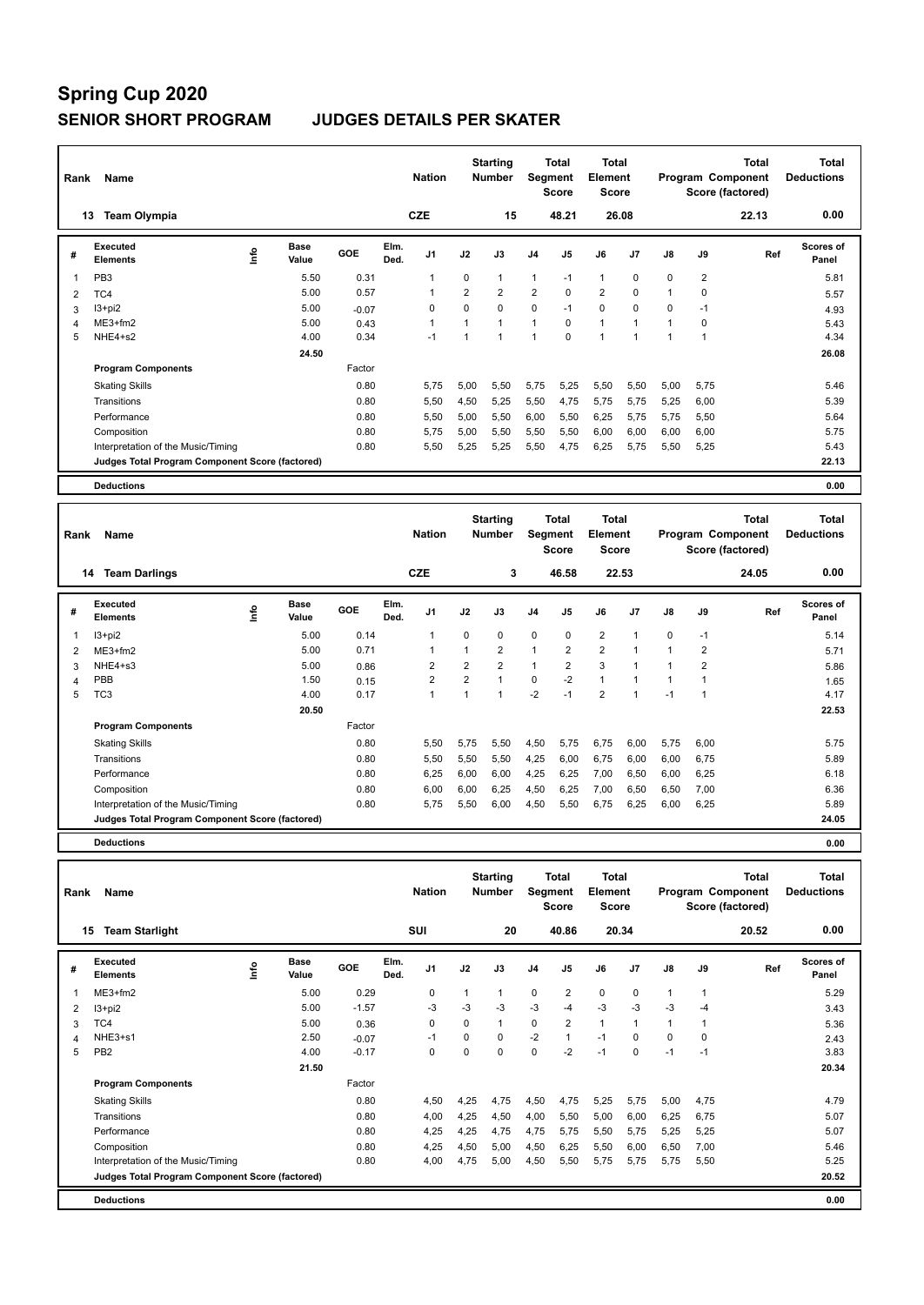| Rank | Name                                            |                              |         | <b>Nation</b>                  |                | <b>Starting</b><br><b>Number</b> | <b>Segment</b> | <b>Total</b><br><b>Score</b> | Total<br>Element<br><b>Score</b> |              |                | Program Component<br>Score (factored) | <b>Total</b> | <b>Total</b><br><b>Deductions</b> |
|------|-------------------------------------------------|------------------------------|---------|--------------------------------|----------------|----------------------------------|----------------|------------------------------|----------------------------------|--------------|----------------|---------------------------------------|--------------|-----------------------------------|
|      | <b>Team Olympia</b><br>13                       |                              |         | <b>CZE</b>                     |                | 15                               |                | 48.21                        |                                  | 26.08        |                |                                       | 22.13        | 0.00                              |
| #    | Executed<br><b>Elements</b>                     | <b>Base</b><br>Info<br>Value | GOE     | Elm.<br>J <sub>1</sub><br>Ded. | J2             | J3                               | J <sub>4</sub> | J <sub>5</sub>               | J6                               | J7           | $\mathsf{J}8$  | J9                                    | Ref          | <b>Scores of</b><br>Panel         |
| 1    | PB <sub>3</sub>                                 | 5.50                         | 0.31    | 1                              | 0              | $\mathbf{1}$                     | $\mathbf{1}$   | $-1$                         | $\mathbf{1}$                     | 0            | 0              | $\overline{2}$                        |              | 5.81                              |
| 2    | TC4                                             | 5.00                         | 0.57    | 1                              | $\overline{2}$ | $\overline{2}$                   | $\overline{2}$ | $\Omega$                     | $\overline{2}$                   | 0            | 1              | $\mathbf 0$                           |              | 5.57                              |
| 3    | $13 + pi2$                                      | 5.00                         | $-0.07$ | 0                              | 0              | $\mathbf 0$                      | 0              | $-1$                         | $\mathbf 0$                      | 0            | 0              | $-1$                                  |              | 4.93                              |
| 4    | $ME3+fm2$                                       | 5.00                         | 0.43    | 1                              | 1              | $\mathbf{1}$                     | $\mathbf{1}$   | $\mathbf 0$                  | $\mathbf{1}$                     | $\mathbf{1}$ | $\overline{1}$ | $\mathbf 0$                           |              | 5.43                              |
| 5    | NHE4+s2                                         | 4.00                         | 0.34    | $-1$                           | 1              | $\overline{1}$                   | $\mathbf{1}$   | 0                            | $\mathbf{1}$                     | 1            | 1              | $\overline{1}$                        |              | 4.34                              |
|      |                                                 | 24.50                        |         |                                |                |                                  |                |                              |                                  |              |                |                                       |              | 26.08                             |
|      | <b>Program Components</b>                       |                              | Factor  |                                |                |                                  |                |                              |                                  |              |                |                                       |              |                                   |
|      | <b>Skating Skills</b>                           |                              | 0.80    | 5.75                           | 5,00           | 5,50                             | 5,75           | 5,25                         | 5,50                             | 5,50         | 5,00           | 5,75                                  |              | 5.46                              |
|      | Transitions                                     |                              | 0.80    | 5,50                           | 4,50           | 5,25                             | 5,50           | 4,75                         | 5,75                             | 5,75         | 5,25           | 6,00                                  |              | 5.39                              |
|      | Performance                                     |                              | 0.80    | 5,50                           | 5,00           | 5,50                             | 6,00           | 5,50                         | 6,25                             | 5,75         | 5.75           | 5,50                                  |              | 5.64                              |
|      | Composition                                     |                              | 0.80    | 5,75                           | 5,00           | 5,50                             | 5,50           | 5,50                         | 6,00                             | 6,00         | 6,00           | 6,00                                  |              | 5.75                              |
|      | Interpretation of the Music/Timing              |                              | 0.80    | 5,50                           | 5.25           | 5.25                             | 5,50           | 4,75                         | 6,25                             | 5,75         | 5,50           | 5,25                                  |              | 5.43                              |
|      | Judges Total Program Component Score (factored) |                              |         |                                |                |                                  |                |                              |                                  |              |                |                                       |              | 22.13                             |
|      | <b>Deductions</b>                               |                              |         |                                |                |                                  |                |                              |                                  |              |                |                                       |              | 0.00                              |
| Rank | Name                                            |                              |         | <b>Nation</b>                  |                | <b>Starting</b><br><b>Number</b> | Segment        | <b>Total</b>                 | Total<br><b>Element</b>          |              |                | Program Component                     | <b>Total</b> | <b>Total</b><br><b>Deductions</b> |

| <b>Rank</b> | name                                            |                       |            | nation                         |                | number         |                | əegment<br>Score | Element<br><b>Score</b> |       |               |                | Program Component<br>Score (factored) | <b>Deauctions</b>  |
|-------------|-------------------------------------------------|-----------------------|------------|--------------------------------|----------------|----------------|----------------|------------------|-------------------------|-------|---------------|----------------|---------------------------------------|--------------------|
|             | <b>Team Darlings</b><br>14                      |                       |            | <b>CZE</b>                     |                | 3              |                | 46.58            |                         | 22.53 |               |                | 24.05                                 | 0.00               |
| #           | <b>Executed</b><br><b>Elements</b>              | Base<br>lnfo<br>Value | <b>GOE</b> | Elm.<br>J <sub>1</sub><br>Ded. | J2             | J3             | J <sub>4</sub> | J5               | J6                      | J7    | $\mathsf{J}8$ | J9             | Ref                                   | Scores of<br>Panel |
|             | I3+pi2                                          | 5.00                  | 0.14       | 1                              | 0              | 0              | $\mathbf 0$    | 0                | 2                       |       | 0             | $-1$           |                                       | 5.14               |
| 2           | $ME3+fm2$                                       | 5.00                  | 0.71       | 1                              | 1              | $\overline{2}$ | $\mathbf{1}$   | 2                | $\overline{2}$          |       |               | $\overline{2}$ |                                       | 5.71               |
| 3           | NHE4+s3                                         | 5.00                  | 0.86       | 2                              | $\overline{2}$ | $\overline{2}$ | $\mathbf{1}$   | $\overline{2}$   | 3                       |       |               | 2              |                                       | 5.86               |
| 4           | PBB                                             | 1.50                  | 0.15       | $\overline{2}$                 | $\overline{2}$ |                | 0              | $-2$             |                         |       |               |                |                                       | 1.65               |
| 5           | TC <sub>3</sub>                                 | 4.00                  | 0.17       | 1                              |                |                | $-2$           | $-1$             | $\overline{2}$          |       | $-1$          | 1              |                                       | 4.17               |
|             |                                                 | 20.50                 |            |                                |                |                |                |                  |                         |       |               |                |                                       | 22.53              |
|             | <b>Program Components</b>                       |                       | Factor     |                                |                |                |                |                  |                         |       |               |                |                                       |                    |
|             | <b>Skating Skills</b>                           |                       | 0.80       | 5,50                           | 5,75           | 5,50           | 4,50           | 5,75             | 6,75                    | 6,00  | 5,75          | 6,00           |                                       | 5.75               |
|             | Transitions                                     |                       | 0.80       | 5,50                           | 5,50           | 5,50           | 4,25           | 6,00             | 6,75                    | 6,00  | 6,00          | 6,75           |                                       | 5.89               |
|             | Performance                                     |                       | 0.80       | 6,25                           | 6,00           | 6,00           | 4,25           | 6,25             | 7,00                    | 6,50  | 6,00          | 6,25           |                                       | 6.18               |
|             | Composition                                     |                       | 0.80       | 6,00                           | 6,00           | 6,25           | 4,50           | 6,25             | 7,00                    | 6,50  | 6,50          | 7,00           |                                       | 6.36               |
|             | Interpretation of the Music/Timing              |                       | 0.80       | 5,75                           | 5,50           | 6,00           | 4,50           | 5,50             | 6,75                    | 6,25  | 6,00          | 6,25           |                                       | 5.89               |
|             | Judges Total Program Component Score (factored) |                       |            |                                |                |                |                |                  |                         |       |               |                |                                       | 24.05              |
|             |                                                 |                       |            |                                |                |                |                |                  |                         |       |               |                |                                       |                    |

**Deductions 0.00**

| Rank | Name                                            |      |                      |         |              | <b>Nation</b>  |          | <b>Starting</b><br><b>Number</b> | Segment        | Total<br><b>Score</b> | <b>Total</b><br>Element<br><b>Score</b> |                |          |             | <b>Total</b><br>Program Component<br>Score (factored) | <b>Total</b><br><b>Deductions</b> |
|------|-------------------------------------------------|------|----------------------|---------|--------------|----------------|----------|----------------------------------|----------------|-----------------------|-----------------------------------------|----------------|----------|-------------|-------------------------------------------------------|-----------------------------------|
| 15   | <b>Team Starlight</b>                           |      |                      |         |              | <b>SUI</b>     |          | 20                               |                | 40.86                 |                                         | 20.34          |          |             | 20.52                                                 | 0.00                              |
| #    | <b>Executed</b><br><b>Elements</b>              | lnfo | <b>Base</b><br>Value | GOE     | Elm.<br>Ded. | J <sub>1</sub> | J2       | J3                               | J <sub>4</sub> | J5                    | J6                                      | J <sub>7</sub> | J8       | J9          | Ref                                                   | Scores of<br>Panel                |
| 1    | $ME3+fm2$                                       |      | 5.00                 | 0.29    |              | 0              | 1        | 1                                | $\mathbf 0$    | 2                     | 0                                       | $\mathbf 0$    | 1        | 1           |                                                       | 5.29                              |
| 2    | I3+pi2                                          |      | 5.00                 | $-1.57$ |              | -3             | $-3$     | $-3$                             | $-3$           | $-4$                  | $-3$                                    | $-3$           | -3       | $-4$        |                                                       | 3.43                              |
| 3    | TC4                                             |      | 5.00                 | 0.36    |              | 0              | $\Omega$ | 1                                | $\mathbf 0$    | $\overline{2}$        | $\mathbf{1}$                            | $\mathbf{1}$   | 1        |             |                                                       | 5.36                              |
| 4    | NHE3+s1                                         |      | 2.50                 | $-0.07$ |              | $-1$           | $\Omega$ | $\Omega$                         | $-2$           | $\overline{1}$        | $-1$                                    | $\Omega$       | $\Omega$ | $\mathbf 0$ |                                                       | 2.43                              |
| 5    | PB <sub>2</sub>                                 |      | 4.00                 | $-0.17$ |              | 0              | $\Omega$ | $\Omega$                         | 0              | $-2$                  | $-1$                                    | $\Omega$       | $-1$     | $-1$        |                                                       | 3.83                              |
|      |                                                 |      | 21.50                |         |              |                |          |                                  |                |                       |                                         |                |          |             |                                                       | 20.34                             |
|      | <b>Program Components</b>                       |      |                      | Factor  |              |                |          |                                  |                |                       |                                         |                |          |             |                                                       |                                   |
|      | <b>Skating Skills</b>                           |      |                      | 0.80    |              | 4,50           | 4,25     | 4.75                             | 4,50           | 4,75                  | 5,25                                    | 5,75           | 5.00     | 4,75        |                                                       | 4.79                              |
|      | Transitions                                     |      |                      | 0.80    |              | 4,00           | 4,25     | 4,50                             | 4,00           | 5,50                  | 5,00                                    | 6,00           | 6,25     | 6,75        |                                                       | 5.07                              |
|      | Performance                                     |      |                      | 0.80    |              | 4,25           | 4,25     | 4.75                             | 4,75           | 5,75                  | 5,50                                    | 5,75           | 5.25     | 5,25        |                                                       | 5.07                              |
|      | Composition                                     |      |                      | 0.80    |              | 4,25           | 4,50     | 5,00                             | 4,50           | 6,25                  | 5,50                                    | 6,00           | 6,50     | 7,00        |                                                       | 5.46                              |
|      | Interpretation of the Music/Timing              |      |                      | 0.80    |              | 4,00           | 4,75     | 5,00                             | 4,50           | 5,50                  | 5,75                                    | 5,75           | 5,75     | 5,50        |                                                       | 5.25                              |
|      | Judges Total Program Component Score (factored) |      |                      |         |              |                |          |                                  |                |                       |                                         |                |          |             |                                                       | 20.52                             |
|      | <b>Deductions</b>                               |      |                      |         |              |                |          |                                  |                |                       |                                         |                |          |             |                                                       | 0.00                              |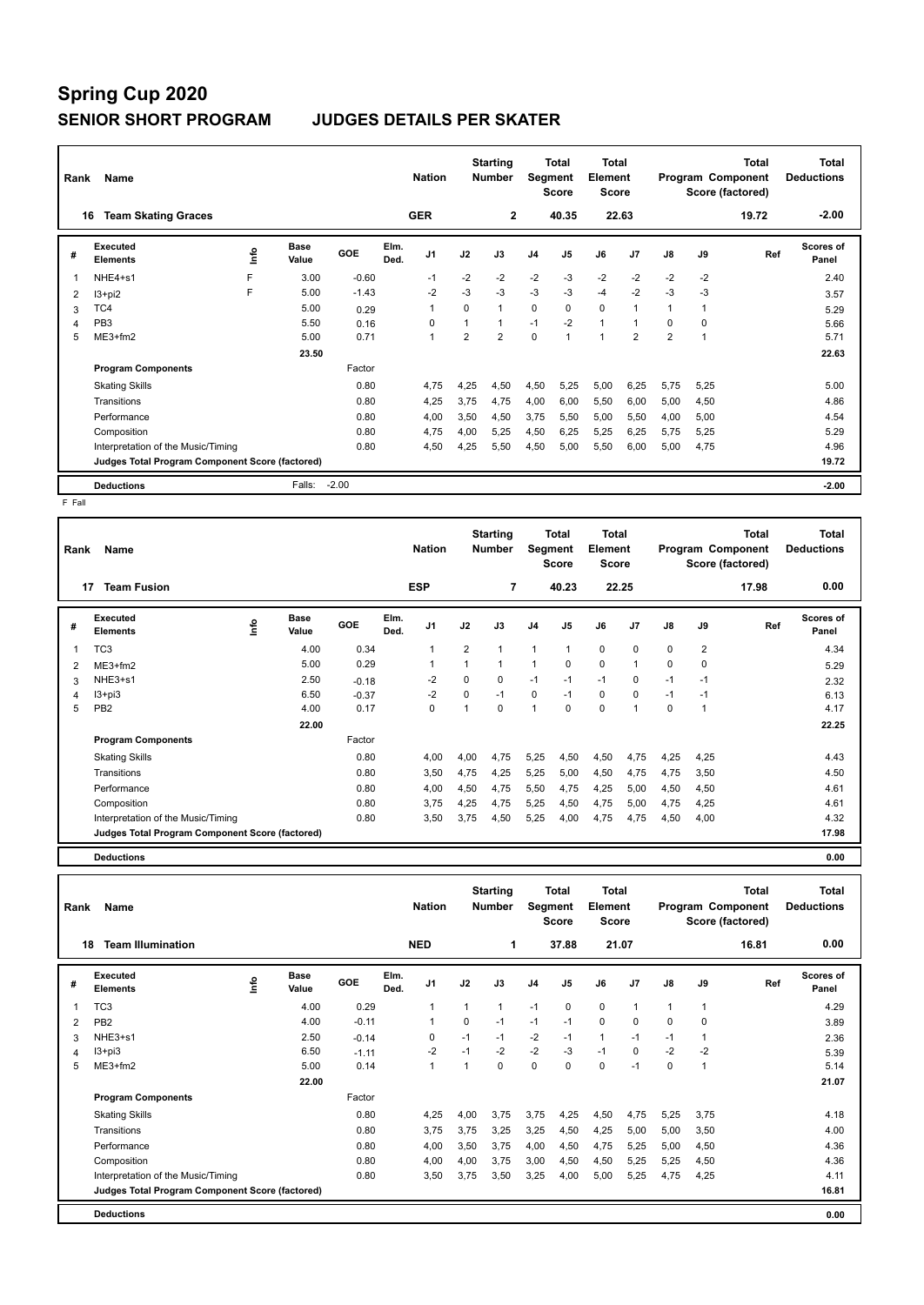| Rank | Name                                            |    |               |         |              | <b>Nation</b>  |                | <b>Starting</b><br><b>Number</b> | Segment        | Total<br><b>Score</b> | <b>Total</b><br>Element<br><b>Score</b> |                |                |             | <b>Total</b><br>Program Component<br>Score (factored) | <b>Total</b><br><b>Deductions</b> |
|------|-------------------------------------------------|----|---------------|---------|--------------|----------------|----------------|----------------------------------|----------------|-----------------------|-----------------------------------------|----------------|----------------|-------------|-------------------------------------------------------|-----------------------------------|
|      | <b>Team Skating Graces</b><br>16                |    |               |         |              | <b>GER</b>     |                | $\mathbf{2}$                     |                | 40.35                 |                                         | 22.63          |                |             | 19.72                                                 | $-2.00$                           |
| #    | Executed<br><b>Elements</b>                     | ۴ů | Base<br>Value | GOE     | Elm.<br>Ded. | J <sub>1</sub> | J2             | J3                               | J <sub>4</sub> | J <sub>5</sub>        | J6                                      | J <sub>7</sub> | $\mathsf{J}8$  | J9          | Ref                                                   | <b>Scores of</b><br>Panel         |
| 1    | NHE4+s1                                         | F  | 3.00          | $-0.60$ |              | $-1$           | $-2$           | $-2$                             | $-2$           | $-3$                  | $-2$                                    | $-2$           | $-2$           | $-2$        |                                                       | 2.40                              |
| 2    | $13 + pi2$                                      | F  | 5.00          | $-1.43$ |              | $-2$           | $-3$           | $-3$                             | $-3$           | $-3$                  | $-4$                                    | $-2$           | $-3$           | $-3$        |                                                       | 3.57                              |
| 3    | TC4                                             |    | 5.00          | 0.29    |              | 1              | $\Omega$       | $\mathbf{1}$                     | 0              | $\Omega$              | $\Omega$                                | $\overline{1}$ |                | 1           |                                                       | 5.29                              |
| 4    | PB <sub>3</sub>                                 |    | 5.50          | 0.16    |              | $\Omega$       |                |                                  | $-1$           | $-2$                  | $\mathbf{1}$                            | $\overline{1}$ | $\Omega$       | $\mathbf 0$ |                                                       | 5.66                              |
| 5    | $ME3+fm2$                                       |    | 5.00          | 0.71    |              | $\overline{1}$ | $\overline{2}$ | $\overline{2}$                   | 0              |                       | $\overline{1}$                          | $\overline{2}$ | $\overline{2}$ | 1           |                                                       | 5.71                              |
|      |                                                 |    | 23.50         |         |              |                |                |                                  |                |                       |                                         |                |                |             |                                                       | 22.63                             |
|      | <b>Program Components</b>                       |    |               | Factor  |              |                |                |                                  |                |                       |                                         |                |                |             |                                                       |                                   |
|      | <b>Skating Skills</b>                           |    |               | 0.80    |              | 4,75           | 4,25           | 4,50                             | 4,50           | 5,25                  | 5,00                                    | 6,25           | 5,75           | 5,25        |                                                       | 5.00                              |
|      | Transitions                                     |    |               | 0.80    |              | 4,25           | 3,75           | 4,75                             | 4,00           | 6,00                  | 5,50                                    | 6,00           | 5,00           | 4,50        |                                                       | 4.86                              |
|      | Performance                                     |    |               | 0.80    |              | 4,00           | 3,50           | 4,50                             | 3,75           | 5,50                  | 5,00                                    | 5,50           | 4.00           | 5,00        |                                                       | 4.54                              |
|      | Composition                                     |    |               | 0.80    |              | 4,75           | 4,00           | 5,25                             | 4,50           | 6,25                  | 5,25                                    | 6,25           | 5.75           | 5,25        |                                                       | 5.29                              |
|      | Interpretation of the Music/Timing              |    |               | 0.80    |              | 4,50           | 4,25           | 5,50                             | 4,50           | 5,00                  | 5,50                                    | 6,00           | 5,00           | 4,75        |                                                       | 4.96                              |
|      | Judges Total Program Component Score (factored) |    |               |         |              |                |                |                                  |                |                       |                                         |                |                |             |                                                       | 19.72                             |
|      | <b>Deductions</b>                               |    | Falls:        | $-2.00$ |              |                |                |                                  |                |                       |                                         |                |                |             |                                                       | $-2.00$                           |

F Fall

| Rank | Name                                            |      |                      |         |              | <b>Nation</b>  |                | <b>Starting</b><br>Number | Segment        | Total<br><b>Score</b> | <b>Total</b><br>Element<br><b>Score</b> |                |          |                | <b>Total</b><br>Program Component<br>Score (factored) | <b>Total</b><br><b>Deductions</b> |
|------|-------------------------------------------------|------|----------------------|---------|--------------|----------------|----------------|---------------------------|----------------|-----------------------|-----------------------------------------|----------------|----------|----------------|-------------------------------------------------------|-----------------------------------|
|      | 17<br><b>Team Fusion</b>                        |      |                      |         |              | <b>ESP</b>     |                | 7                         |                | 40.23                 | 22.25                                   |                |          |                | 17.98                                                 | 0.00                              |
| #    | Executed<br><b>Elements</b>                     | lnfo | <b>Base</b><br>Value | GOE     | Elm.<br>Ded. | J <sub>1</sub> | J2             | J3                        | J <sub>4</sub> | J <sub>5</sub>        | J6                                      | J <sub>7</sub> | J8       | J9             | Ref                                                   | <b>Scores of</b><br>Panel         |
| 1    | TC <sub>3</sub>                                 |      | 4.00                 | 0.34    |              | $\overline{1}$ | $\overline{2}$ | $\mathbf 1$               | 1              | $\mathbf{1}$          | $\mathbf 0$                             | $\Omega$       | $\Omega$ | $\overline{2}$ |                                                       | 4.34                              |
| 2    | $ME3+fm2$                                       |      | 5.00                 | 0.29    |              |                | 1              | $\mathbf{1}$              | 1              | 0                     | $\mathbf 0$                             | $\overline{1}$ | 0        | $\mathbf 0$    |                                                       | 5.29                              |
| 3    | NHE3+s1                                         |      | 2.50                 | $-0.18$ |              | $-2$           | $\Omega$       | 0                         | $-1$           | $-1$                  | $-1$                                    | $\mathbf 0$    | $-1$     | $-1$           |                                                       | 2.32                              |
| 4    | I3+pi3                                          |      | 6.50                 | $-0.37$ |              | $-2$           | 0              | $-1$                      | 0              | $-1$                  | $\mathbf 0$                             | $\mathbf 0$    | $-1$     | $-1$           |                                                       | 6.13                              |
| 5    | PB <sub>2</sub>                                 |      | 4.00                 | 0.17    |              | 0              | 1              | $\Omega$                  | 1              | $\Omega$              | $\Omega$                                | $\overline{1}$ | $\Omega$ | -1             |                                                       | 4.17                              |
|      |                                                 |      | 22.00                |         |              |                |                |                           |                |                       |                                         |                |          |                |                                                       | 22.25                             |
|      | <b>Program Components</b>                       |      |                      | Factor  |              |                |                |                           |                |                       |                                         |                |          |                |                                                       |                                   |
|      | <b>Skating Skills</b>                           |      |                      | 0.80    |              | 4,00           | 4,00           | 4,75                      | 5,25           | 4,50                  | 4,50                                    | 4,75           | 4,25     | 4,25           |                                                       | 4.43                              |
|      | Transitions                                     |      |                      | 0.80    |              | 3,50           | 4,75           | 4,25                      | 5,25           | 5,00                  | 4,50                                    | 4,75           | 4,75     | 3,50           |                                                       | 4.50                              |
|      | Performance                                     |      |                      | 0.80    |              | 4,00           | 4,50           | 4,75                      | 5,50           | 4,75                  | 4,25                                    | 5,00           | 4,50     | 4,50           |                                                       | 4.61                              |
|      | Composition                                     |      |                      | 0.80    |              | 3,75           | 4,25           | 4,75                      | 5,25           | 4,50                  | 4,75                                    | 5,00           | 4,75     | 4,25           |                                                       | 4.61                              |
|      | Interpretation of the Music/Timing              |      |                      | 0.80    |              | 3,50           | 3,75           | 4,50                      | 5,25           | 4,00                  | 4,75                                    | 4,75           | 4,50     | 4,00           |                                                       | 4.32                              |
|      | Judges Total Program Component Score (factored) |      |                      |         |              |                |                |                           |                |                       |                                         |                |          |                |                                                       | 17.98                             |

**Deductions 0.00**

**Total Deductions Total Program Component Score (factored) Total Element Score Total Segment Score Starting Rank Name Nation Number # Executed Elements Base Value GOE J1 J2 J3 J4 J5 J6 J7 J8 J9 Scores of Panel** 1 4.00 0.29 1 1 1 -1 0 0 1 1 1 **Ref**  4.29 **Elm. Ded.**  TC3 **Info 18 Team Illumination NED 1 37.88 21.07 16.81 0.00** 2 PB2 4.00 -0.11 1 0 -1 -1 -1 0 0 0 0 3.89 3 NHE3+s1 2.50 -0.14 0 -1 -1 -2 -1 1 -1 -1 1 2.36 4 I3+pi3 6.50 -1.11 -2 -1 -2 -2 -3 -1 0 -2 -2 5.39 5 ME3+fm2 5.00 0.14 1 1 0 0 0 0 -1 0 1 5.14  **22.00 21.07 Program Components**  Skating Skills 4,25 4,00 3,75 3,75 4,25 4,50 4,75 5,25 3,75 Factor 0.80 4,25 4,00 3,75 3,75 4,25 4,50 4,75 5,25 3,75 4.18 Transitions 0.80 3,75 3,75 3,25 3,25 4,50 4,25 5,00 5,00 3,50 4.00 Performance 0.80 4,00 3,50 3,75 4,00 4,50 4,75 5,25 5,00 4,50 4.36 Composition 0.80 4,00 4,00 3,75 3,00 4,50 4,50 5,25 5,25 4,50 4.36 Interpretation of the Music/Timing 0.80 3,50 3,75 3,50 3,75 4,00 5,00 5,25 4,75 4,25 4.11 **Deductions 0.00 Judges Total Program Component Score (factored) 16.81**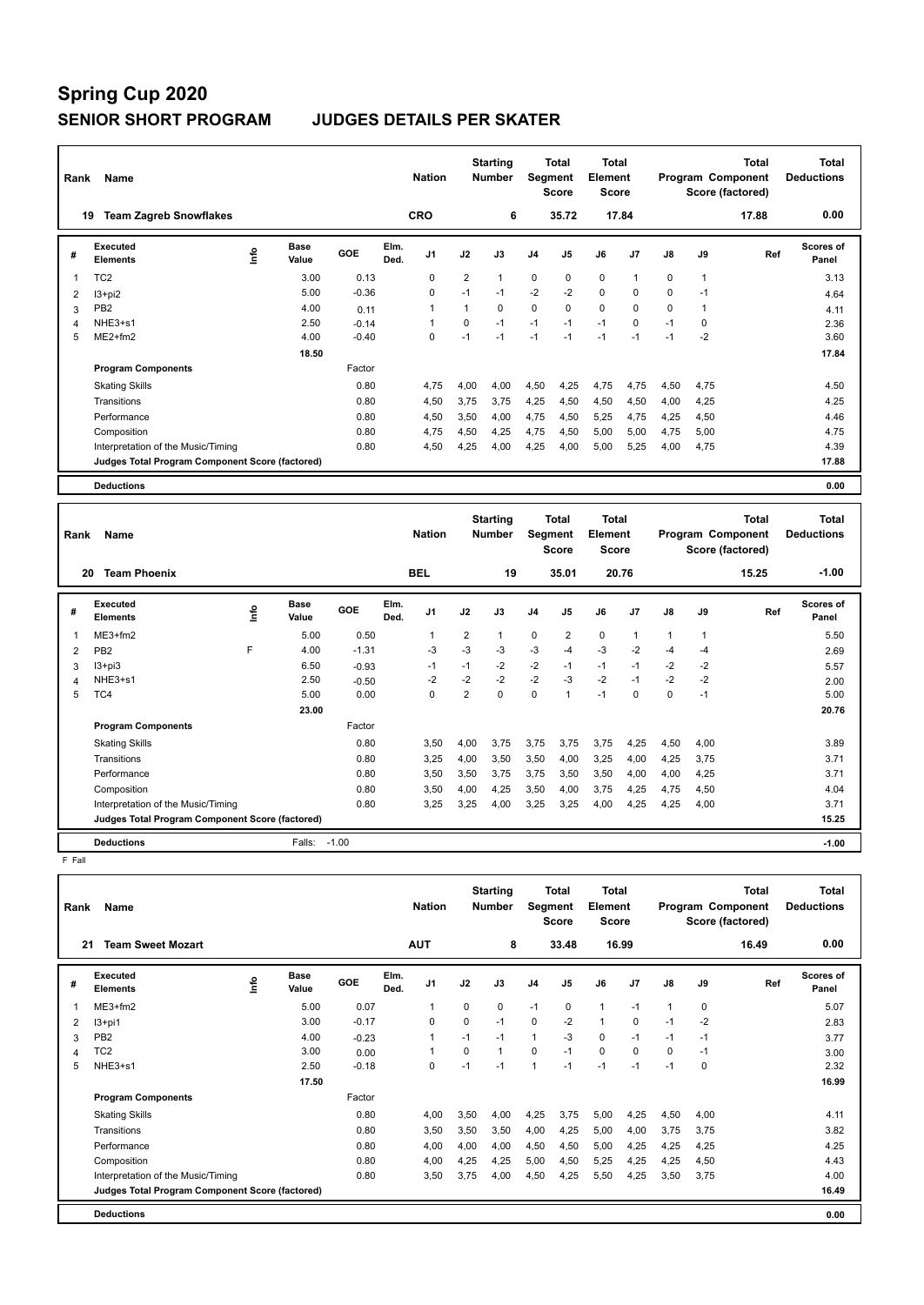| Rank           | Name                                            |                       |         |              | <b>Nation</b>  |                | <b>Starting</b><br><b>Number</b> |                | <b>Total</b><br>Segment<br><b>Score</b> | <b>Total</b><br>Element<br><b>Score</b> |                |          |              | <b>Total</b><br>Program Component<br>Score (factored) | <b>Total</b><br><b>Deductions</b> |
|----------------|-------------------------------------------------|-----------------------|---------|--------------|----------------|----------------|----------------------------------|----------------|-----------------------------------------|-----------------------------------------|----------------|----------|--------------|-------------------------------------------------------|-----------------------------------|
|                | <b>Team Zagreb Snowflakes</b><br>19             |                       |         | CRO          |                |                | 6                                |                | 35.72                                   |                                         | 17.84          |          |              | 17.88                                                 | 0.00                              |
| #              | Executed<br><b>Elements</b>                     | Base<br>١nfo<br>Value | GOE     | Elm.<br>Ded. | J <sub>1</sub> | J2             | J3                               | J <sub>4</sub> | J <sub>5</sub>                          | J6                                      | J <sub>7</sub> | J8       | J9           | Ref                                                   | Scores of<br>Panel                |
| 1              | TC <sub>2</sub>                                 | 3.00                  | 0.13    |              | $\Omega$       | $\overline{2}$ | $\mathbf{1}$                     | $\mathbf 0$    | $\Omega$                                | $\mathbf 0$                             | $\mathbf{1}$   | $\Omega$ | $\mathbf{1}$ |                                                       | 3.13                              |
| $\overline{2}$ | $13+pi2$                                        | 5.00                  | $-0.36$ |              | 0              | $-1$           | $-1$                             | $-2$           | $-2$                                    | $\mathbf 0$                             | 0              | 0        | $-1$         |                                                       | 4.64                              |
| 3              | PB <sub>2</sub>                                 | 4.00                  | 0.11    |              | 1              | $\mathbf{1}$   | $\Omega$                         | $\mathbf 0$    | $\Omega$                                | $\mathbf 0$                             | $\Omega$       | $\Omega$ | $\mathbf{1}$ |                                                       | 4.11                              |
| Δ              | NHE3+s1                                         | 2.50                  | $-0.14$ |              | 1              | $\Omega$       | $-1$                             | $-1$           | $-1$                                    | $-1$                                    | $\Omega$       | $-1$     | 0            |                                                       | 2.36                              |
| 5              | $ME2+fm2$                                       | 4.00                  | $-0.40$ |              | $\Omega$       | $-1$           | $-1$                             | $-1$           | $-1$                                    | $-1$                                    | $-1$           | $-1$     | $-2$         |                                                       | 3.60                              |
|                |                                                 | 18.50                 |         |              |                |                |                                  |                |                                         |                                         |                |          |              |                                                       | 17.84                             |
|                | <b>Program Components</b>                       |                       | Factor  |              |                |                |                                  |                |                                         |                                         |                |          |              |                                                       |                                   |
|                | <b>Skating Skills</b>                           |                       | 0.80    |              | 4,75           | 4,00           | 4,00                             | 4,50           | 4,25                                    | 4,75                                    | 4,75           | 4,50     | 4,75         |                                                       | 4.50                              |
|                | Transitions                                     |                       | 0.80    |              | 4,50           | 3.75           | 3.75                             | 4,25           | 4,50                                    | 4,50                                    | 4,50           | 4.00     | 4,25         |                                                       | 4.25                              |
|                | Performance                                     |                       | 0.80    |              | 4,50           | 3,50           | 4,00                             | 4,75           | 4,50                                    | 5,25                                    | 4,75           | 4,25     | 4,50         |                                                       | 4.46                              |
|                | Composition                                     |                       | 0.80    |              | 4,75           | 4,50           | 4,25                             | 4,75           | 4,50                                    | 5,00                                    | 5,00           | 4.75     | 5,00         |                                                       | 4.75                              |
|                | Interpretation of the Music/Timing              |                       | 0.80    |              | 4,50           | 4,25           | 4,00                             | 4,25           | 4.00                                    | 5,00                                    | 5,25           | 4.00     | 4,75         |                                                       | 4.39                              |
|                | Judges Total Program Component Score (factored) |                       |         |              |                |                |                                  |                |                                         |                                         |                |          |              |                                                       | 17.88                             |
|                | <b>Deductions</b>                               |                       |         |              |                |                |                                  |                |                                         |                                         |                |          |              |                                                       | 0.00                              |
|                |                                                 |                       |         |              |                |                |                                  |                |                                         |                                         |                |          |              |                                                       |                                   |
| Rank           | Name                                            |                       |         |              | <b>Nation</b>  |                | <b>Starting</b><br><b>Number</b> |                | <b>Total</b><br>Segment<br><b>Score</b> | Total<br>Element<br><b>Score</b>        |                |          |              | <b>Total</b><br>Program Component<br>Score (factored) | <b>Total</b><br><b>Deductions</b> |
|                | <b>Team Phoenix</b><br>20                       |                       |         | <b>BEL</b>   |                |                | 19                               |                | 35.01                                   | 20.76                                   |                |          |              | 15.25                                                 | $-1.00$                           |

**Value GOE J1 J2 J3 J4 J5 J6 J7 J8 J9** 

 **23.00 20.76**

0.80 3,50 4,00 3,75 3,75 3,75 3,75 4,25 4,50 4,00 3.89

 PB2 F 4.00 -1.31 -3 -3 -3 -3 -4 -3 -2 -4 -4 2.69 I3+pi3 6.50 -0.93 -1 -1 -2 -2 -1 -1 -1 -2 -2 5.57 NHE3+s1 2.50 -0.50 -2 -2 -2 -2 -3 -2 -1 -2 -2 2.00 TC4 5.00 0.00 0 2 0 0 1 -1 0 0 -1 5.00

Transitions 0.80 3,25 4,00 3,50 3,50 4,00 3,25 4,00 4,25 3,75 3.71 Performance 0.80 3,50 3,50 3,75 3,75 3,50 3,50 4,00 4,00 4,25 3.71 Composition 0.80 3,50 4,00 4,25 3,50 4,00 3,75 4,25 4,75 4,50 4.04

**Deductions** Falls: -1.00 **-1.00**

**Scores of Panel**

5.50

**Ref** 

Interpretation of the Music/Timing 0.80 3,25 3,25 4,00 3,25 3,25 4,00 4,25 4,25 4,00 3.71 **Judges Total Program Component Score (factored) 15.25**

**Program Components** 

**Base** 

**Info**

1 5.00 0.50 1 2 1 0 2 0 1 1 1

Factor

Skating Skills 3,50 4,00 3,75 3,75 3,75 3,75 4,25 4,50 4,00

**Elm. Ded.** 

**#** 

F Fall

**Executed Elements** 

ME3+fm2

**Total Deductions Total Program Component Score (factored) Total Element Score Total Segment Score Starting Rank Name Nation Number # Executed Elements Base Value GOE J1 J2 J3 J4 J5 J6 J7 J8 J9 Scores of Panel** 1 5.00 0.07 1 0 0 -1 0 1 -1 1 0 **Ref**  5.07 **Elm. Ded.**  ME3+fm2 **Info 21 Team Sweet Mozart AUT 8 33.48 16.99 16.49 0.00** 2 I3+pi1 3.00 -0.17 0 0 -1 0 -2 1 0 -1 -2 2.83 3 PB2 4.00 -0.23 1 -1 -1 1 -3 0 -1 -1 -1 3.77 4 TC2 3.00 0.00 1 0 1 0 -1 0 0 0 -1 3.00 5 NHE3+s1 2.50 -0.18 0 -1 -1 1 -1 -1 -1 -1 0 2.32  **17.50 16.99 18.99 Program Components**  Skating Skills 4,00 3,50 4,00 4,25 3,75 5,00 4,25 4,50 4,00 Factor 0.80 4,00 3,50 4,00 4,25 3,75 5,00 4,25 4,50 4,00 4.11 Transitions 0.80 3,50 3,50 3,50 4,00 4,25 5,00 4,00 3,75 3,75 3.82 Performance 0.80 4,00 4,00 4,00 4,50 4,50 5,00 4,25 4,25 4,25 4.25 Composition 0.80 4,00 4,25 4,25 5,00 4,50 5,25 4,25 4,25 4,50 4.43 Interpretation of the Music/Timing  $0.80$   $3.50$   $3.75$   $4.00$   $4.50$   $4.25$   $5.50$   $4.25$   $3.50$   $3.75$   $4.00$ **Deductions 0.00 Judges Total Program Component Score (factored) 16.49**